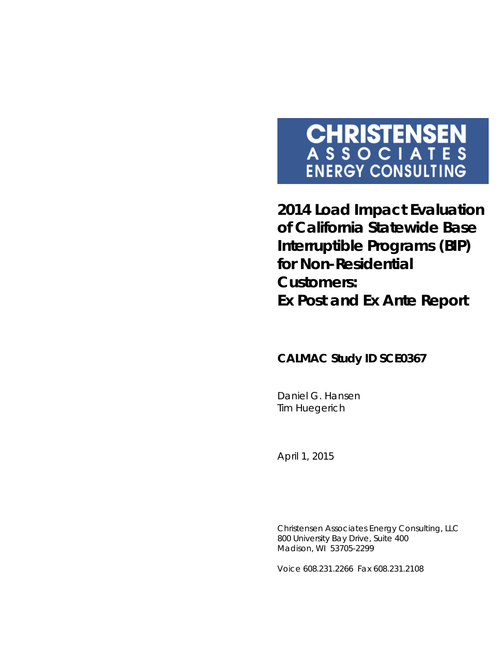# **CHRISTENSEN**<br>ASSOCIATES **ENERGY CONSULTING**

**2014 Load Impact Evaluation of California Statewide Base Interruptible Programs (BIP) for Non-Residential Customers: Ex Post and Ex Ante Report**

### **CALMAC Study ID SCE0367**

Daniel G. Hansen Tim Huegerich

*April 1, 2015*

Christensen Associates Energy Consulting, LLC 800 University Bay Drive, Suite 400 Madison, WI 53705-2299

Voice 608.231.2266 Fax 608.231.2108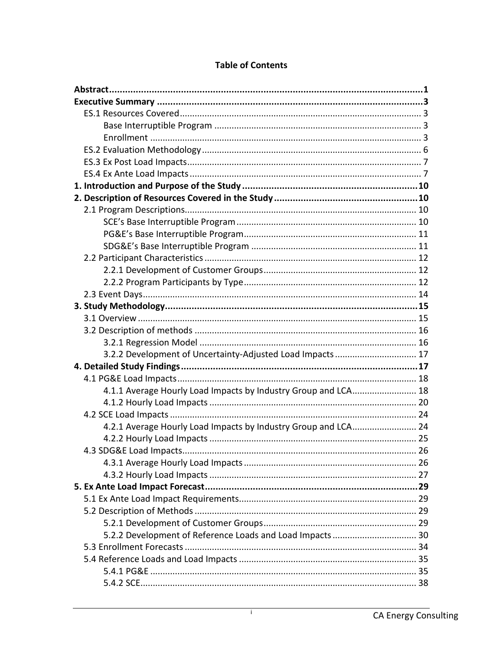| 3.2.2 Development of Uncertainty-Adjusted Load Impacts 17      |  |
|----------------------------------------------------------------|--|
|                                                                |  |
|                                                                |  |
| 4.1.1 Average Hourly Load Impacts by Industry Group and LCA 18 |  |
|                                                                |  |
|                                                                |  |
| 4.2.1 Average Hourly Load Impacts by Industry Group and LCA 24 |  |
|                                                                |  |
|                                                                |  |
|                                                                |  |
|                                                                |  |
|                                                                |  |
|                                                                |  |
|                                                                |  |
|                                                                |  |
| 5.2.2 Development of Reference Loads and Load Impacts 30       |  |
|                                                                |  |
|                                                                |  |
|                                                                |  |
|                                                                |  |

#### **Table of Contents**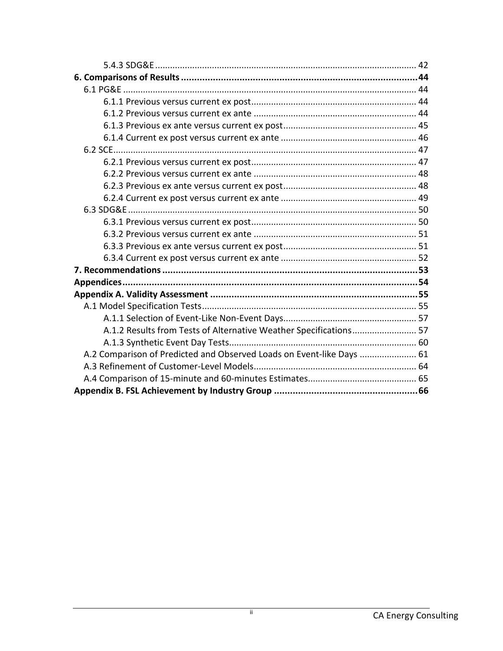| A.1.2 Results from Tests of Alternative Weather Specifications 57     |  |
|-----------------------------------------------------------------------|--|
|                                                                       |  |
| A.2 Comparison of Predicted and Observed Loads on Event-like Days  61 |  |
|                                                                       |  |
|                                                                       |  |
|                                                                       |  |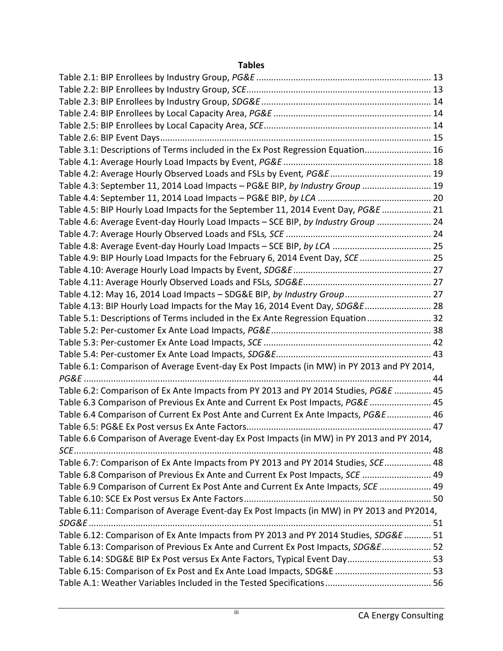#### **Tables**

| Table 3.1: Descriptions of Terms included in the Ex Post Regression Equation 16            |  |
|--------------------------------------------------------------------------------------------|--|
|                                                                                            |  |
|                                                                                            |  |
| Table 4.3: September 11, 2014 Load Impacts - PG&E BIP, by Industry Group  19               |  |
|                                                                                            |  |
| Table 4.5: BIP Hourly Load Impacts for the September 11, 2014 Event Day, PG&E  21          |  |
| Table 4.6: Average Event-day Hourly Load Impacts - SCE BIP, by Industry Group  24          |  |
|                                                                                            |  |
|                                                                                            |  |
| Table 4.9: BIP Hourly Load Impacts for the February 6, 2014 Event Day, SCE  25             |  |
|                                                                                            |  |
|                                                                                            |  |
| Table 4.12: May 16, 2014 Load Impacts - SDG&E BIP, by Industry Group 27                    |  |
| Table 4.13: BIP Hourly Load Impacts for the May 16, 2014 Event Day, SDG&E 28               |  |
| Table 5.1: Descriptions of Terms included in the Ex Ante Regression Equation  32           |  |
|                                                                                            |  |
|                                                                                            |  |
|                                                                                            |  |
| Table 6.1: Comparison of Average Event-day Ex Post Impacts (in MW) in PY 2013 and PY 2014, |  |
|                                                                                            |  |
| Table 6.2: Comparison of Ex Ante Impacts from PY 2013 and PY 2014 Studies, PG&E  45        |  |
| Table 6.3 Comparison of Previous Ex Ante and Current Ex Post Impacts, PG&E  45             |  |
| Table 6.4 Comparison of Current Ex Post Ante and Current Ex Ante Impacts, PG&E 46          |  |
|                                                                                            |  |
| Table 6.6 Comparison of Average Event-day Ex Post Impacts (in MW) in PY 2013 and PY 2014,  |  |
|                                                                                            |  |
| Table 6.7: Comparison of Ex Ante Impacts from PY 2013 and PY 2014 Studies, SCE 48          |  |
| Table 6.8 Comparison of Previous Ex Ante and Current Ex Post Impacts, SCE  49              |  |
| Table 6.9 Comparison of Current Ex Post Ante and Current Ex Ante Impacts, SCE  49          |  |
|                                                                                            |  |
| Table 6.11: Comparison of Average Event-day Ex Post Impacts (in MW) in PY 2013 and PY2014, |  |
|                                                                                            |  |
| Table 6.12: Comparison of Ex Ante Impacts from PY 2013 and PY 2014 Studies, SDG&E  51      |  |
| Table 6.13: Comparison of Previous Ex Ante and Current Ex Post Impacts, SDG&E 52           |  |
| Table 6.14: SDG&E BIP Ex Post versus Ex Ante Factors, Typical Event Day 53                 |  |
|                                                                                            |  |
|                                                                                            |  |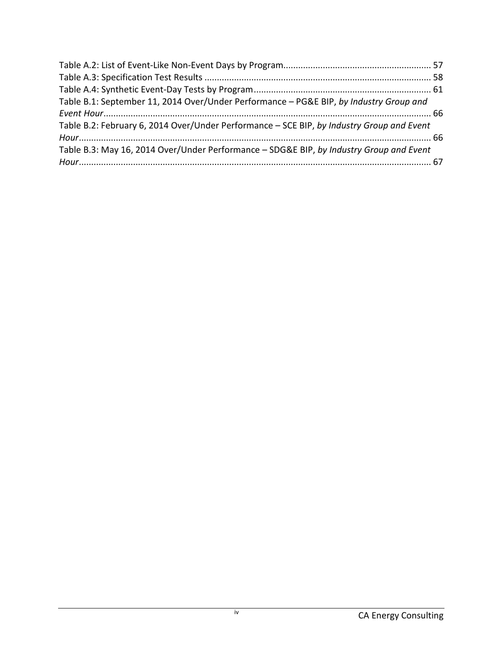| Table B.1: September 11, 2014 Over/Under Performance - PG&E BIP, by Industry Group and    |  |
|-------------------------------------------------------------------------------------------|--|
|                                                                                           |  |
| Table B.2: February 6, 2014 Over/Under Performance - SCE BIP, by Industry Group and Event |  |
|                                                                                           |  |
| Table B.3: May 16, 2014 Over/Under Performance - SDG&E BIP, by Industry Group and Event   |  |
|                                                                                           |  |
|                                                                                           |  |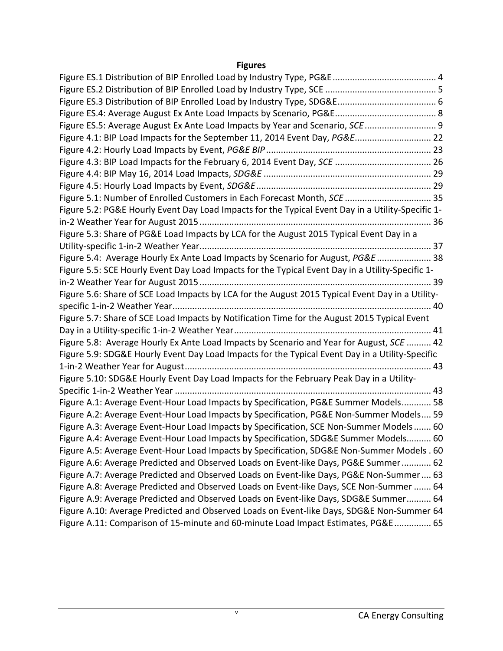#### **Figures**

| Figure ES.5: Average August Ex Ante Load Impacts by Year and Scenario, SCE  9                     |  |
|---------------------------------------------------------------------------------------------------|--|
| Figure 4.1: BIP Load Impacts for the September 11, 2014 Event Day, PG&E 22                        |  |
|                                                                                                   |  |
|                                                                                                   |  |
|                                                                                                   |  |
|                                                                                                   |  |
| Figure 5.1: Number of Enrolled Customers in Each Forecast Month, SCE  35                          |  |
| Figure 5.2: PG&E Hourly Event Day Load Impacts for the Typical Event Day in a Utility-Specific 1- |  |
|                                                                                                   |  |
| Figure 5.3: Share of PG&E Load Impacts by LCA for the August 2015 Typical Event Day in a          |  |
|                                                                                                   |  |
| Figure 5.4: Average Hourly Ex Ante Load Impacts by Scenario for August, PG&E  38                  |  |
| Figure 5.5: SCE Hourly Event Day Load Impacts for the Typical Event Day in a Utility-Specific 1-  |  |
|                                                                                                   |  |
| Figure 5.6: Share of SCE Load Impacts by LCA for the August 2015 Typical Event Day in a Utility-  |  |
|                                                                                                   |  |
| Figure 5.7: Share of SCE Load Impacts by Notification Time for the August 2015 Typical Event      |  |
|                                                                                                   |  |
| Figure 5.8: Average Hourly Ex Ante Load Impacts by Scenario and Year for August, SCE  42          |  |
| Figure 5.9: SDG&E Hourly Event Day Load Impacts for the Typical Event Day in a Utility-Specific   |  |
|                                                                                                   |  |
| Figure 5.10: SDG&E Hourly Event Day Load Impacts for the February Peak Day in a Utility-          |  |
|                                                                                                   |  |
| Figure A.1: Average Event-Hour Load Impacts by Specification, PG&E Summer Models 58               |  |
| Figure A.2: Average Event-Hour Load Impacts by Specification, PG&E Non-Summer Models 59           |  |
| Figure A.3: Average Event-Hour Load Impacts by Specification, SCE Non-Summer Models 60            |  |
| Figure A.4: Average Event-Hour Load Impacts by Specification, SDG&E Summer Models 60              |  |
| Figure A.5: Average Event-Hour Load Impacts by Specification, SDG&E Non-Summer Models . 60        |  |
| Figure A.6: Average Predicted and Observed Loads on Event-like Days, PG&E Summer 62               |  |
| Figure A.7: Average Predicted and Observed Loads on Event-like Days, PG&E Non-Summer 63           |  |
| Figure A.8: Average Predicted and Observed Loads on Event-like Days, SCE Non-Summer  64           |  |
| Figure A.9: Average Predicted and Observed Loads on Event-like Days, SDG&E Summer 64              |  |
| Figure A.10: Average Predicted and Observed Loads on Event-like Days, SDG&E Non-Summer 64         |  |
| Figure A.11: Comparison of 15-minute and 60-minute Load Impact Estimates, PG&E 65                 |  |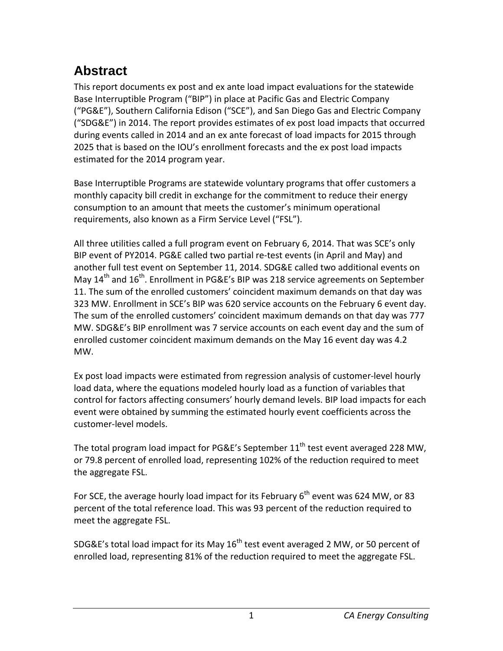# <span id="page-6-0"></span>**Abstract**

This report documents ex post and ex ante load impact evaluations for the statewide Base Interruptible Program ("BIP") in place at Pacific Gas and Electric Company ("PG&E"), Southern California Edison ("SCE"), and San Diego Gas and Electric Company ("SDG&E") in 2014. The report provides estimates of ex post load impacts that occurred during events called in 2014 and an ex ante forecast of load impacts for 2015 through 2025 that is based on the IOU's enrollment forecasts and the ex post load impacts estimated for the 2014 program year.

Base Interruptible Programs are statewide voluntary programs that offer customers a monthly capacity bill credit in exchange for the commitment to reduce their energy consumption to an amount that meets the customer's minimum operational requirements, also known as a Firm Service Level ("FSL").

All three utilities called a full program event on February 6, 2014. That was SCE's only BIP event of PY2014. PG&E called two partial re-test events (in April and May) and another full test event on September 11, 2014. SDG&E called two additional events on May  $14^{th}$  and  $16^{th}$ . Enrollment in PG&E's BIP was 218 service agreements on September 11. The sum of the enrolled customers' coincident maximum demands on that day was 323 MW. Enrollment in SCE's BIP was 620 service accounts on the February 6 event day. The sum of the enrolled customers' coincident maximum demands on that day was 777 MW. SDG&E's BIP enrollment was 7 service accounts on each event day and the sum of enrolled customer coincident maximum demands on the May 16 event day was 4.2 MW.

Ex post load impacts were estimated from regression analysis of customer-level hourly load data, where the equations modeled hourly load as a function of variables that control for factors affecting consumers' hourly demand levels. BIP load impacts for each event were obtained by summing the estimated hourly event coefficients across the customer-level models.

The total program load impact for PG&E's September  $11<sup>th</sup>$  test event averaged 228 MW, or 79.8 percent of enrolled load, representing 102% of the reduction required to meet the aggregate FSL.

For SCE, the average hourly load impact for its February  $6<sup>th</sup>$  event was 624 MW, or 83 percent of the total reference load. This was 93 percent of the reduction required to meet the aggregate FSL.

SDG&E's total load impact for its May  $16^{th}$  test event averaged 2 MW, or 50 percent of enrolled load, representing 81% of the reduction required to meet the aggregate FSL.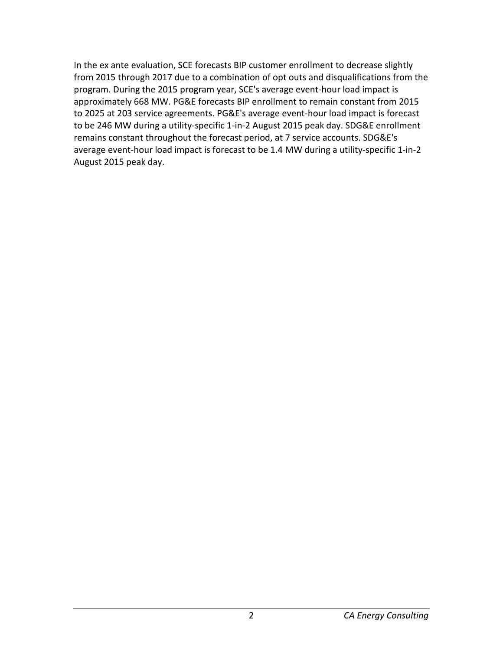In the ex ante evaluation, SCE forecasts BIP customer enrollment to decrease slightly from 2015 through 2017 due to a combination of opt outs and disqualifications from the program. During the 2015 program year, SCE's average event-hour load impact is approximately 668 MW. PG&E forecasts BIP enrollment to remain constant from 2015 to 2025 at 203 service agreements. PG&E's average event-hour load impact is forecast to be 246 MW during a utility-specific 1-in-2 August 2015 peak day. SDG&E enrollment remains constant throughout the forecast period, at 7 service accounts. SDG&E's average event-hour load impact is forecast to be 1.4 MW during a utility-specific 1-in-2 August 2015 peak day.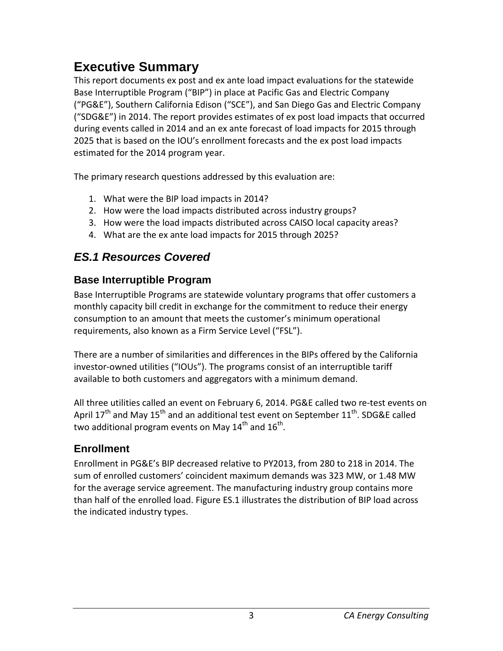# <span id="page-8-0"></span>**Executive Summary**

This report documents ex post and ex ante load impact evaluations for the statewide Base Interruptible Program ("BIP") in place at Pacific Gas and Electric Company ("PG&E"), Southern California Edison ("SCE"), and San Diego Gas and Electric Company ("SDG&E") in 2014. The report provides estimates of ex post load impacts that occurred during events called in 2014 and an ex ante forecast of load impacts for 2015 through 2025 that is based on the IOU's enrollment forecasts and the ex post load impacts estimated for the 2014 program year.

The primary research questions addressed by this evaluation are:

- 1. What were the BIP load impacts in 2014?
- 2. How were the load impacts distributed across industry groups?
- 3. How were the load impacts distributed across CAISO local capacity areas?
- 4. What are the ex ante load impacts for 2015 through 2025?

# <span id="page-8-1"></span>*ES.1 Resources Covered*

### <span id="page-8-2"></span>**Base Interruptible Program**

Base Interruptible Programs are statewide voluntary programs that offer customers a monthly capacity bill credit in exchange for the commitment to reduce their energy consumption to an amount that meets the customer's minimum operational requirements, also known as a Firm Service Level ("FSL").

There are a number of similarities and differences in the BIPs offered by the California investor-owned utilities ("IOUs"). The programs consist of an interruptible tariff available to both customers and aggregators with a minimum demand.

All three utilities called an event on February 6, 2014. PG&E called two re-test events on April 17<sup>th</sup> and May 15<sup>th</sup> and an additional test event on September 11<sup>th</sup>. SDG&E called two additional program events on May  $14^{th}$  and  $16^{th}$ .

# <span id="page-8-3"></span>**Enrollment**

Enrollment in PG&E's BIP decreased relative to PY2013, from 280 to 218 in 2014. The sum of enrolled customers' coincident maximum demands was 323 MW, or 1.48 MW for the average service agreement. The manufacturing industry group contains more than half of the enrolled load. Figure ES.1 illustrates the distribution of BIP load across the indicated industry types.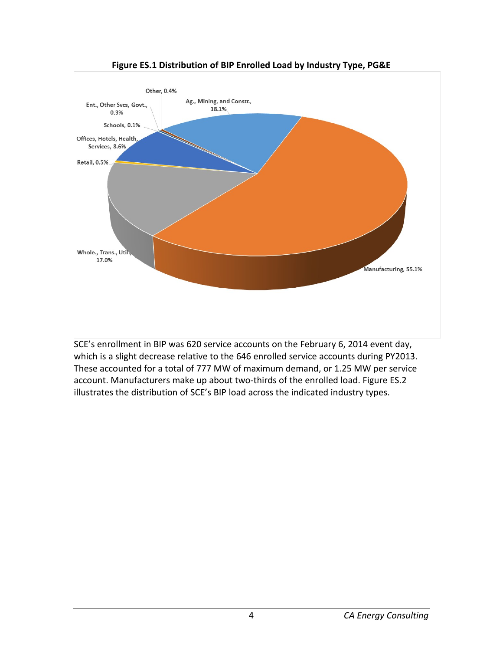<span id="page-9-0"></span>

**Figure ES.1 Distribution of BIP Enrolled Load by Industry Type, PG&E**

SCE's enrollment in BIP was 620 service accounts on the February 6, 2014 event day, which is a slight decrease relative to the 646 enrolled service accounts during PY2013. These accounted for a total of 777 MW of maximum demand, or 1.25 MW per service account. Manufacturers make up about two-thirds of the enrolled load. Figure ES.2 illustrates the distribution of SCE's BIP load across the indicated industry types.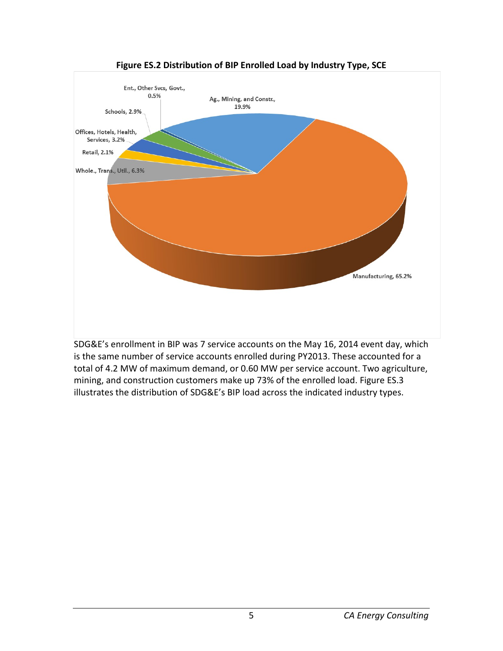<span id="page-10-0"></span>

**Figure ES.2 Distribution of BIP Enrolled Load by Industry Type, SCE**

SDG&E's enrollment in BIP was 7 service accounts on the May 16, 2014 event day, which is the same number of service accounts enrolled during PY2013. These accounted for a total of 4.2 MW of maximum demand, or 0.60 MW per service account. Two agriculture, mining, and construction customers make up 73% of the enrolled load. Figure ES.3 illustrates the distribution of SDG&E's BIP load across the indicated industry types.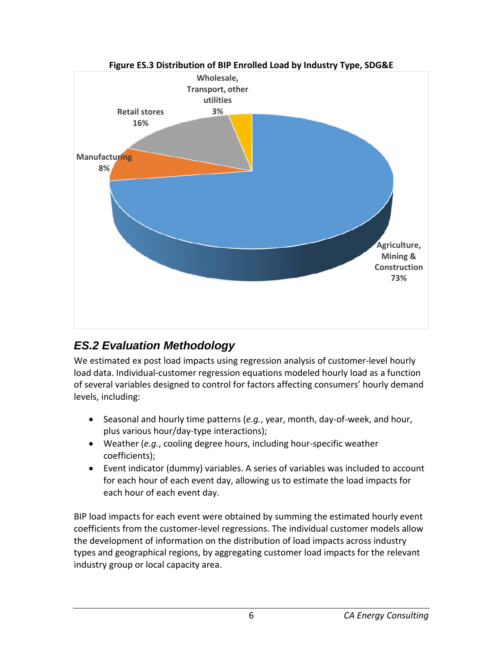<span id="page-11-1"></span>

# <span id="page-11-0"></span>*ES.2 Evaluation Methodology*

We estimated ex post load impacts using regression analysis of customer-level hourly load data. Individual-customer regression equations modeled hourly load as a function of several variables designed to control for factors affecting consumers' hourly demand levels, including:

- Seasonal and hourly time patterns (*e.g.*, year, month, day-of-week, and hour, plus various hour/day-type interactions);
- Weather (*e.g.*, cooling degree hours, including hour-specific weather coefficients);
- Event indicator (dummy) variables. A series of variables was included to account for each hour of each event day, allowing us to estimate the load impacts for each hour of each event day.

BIP load impacts for each event were obtained by summing the estimated hourly event coefficients from the customer-level regressions. The individual customer models allow the development of information on the distribution of load impacts across industry types and geographical regions, by aggregating customer load impacts for the relevant industry group or local capacity area.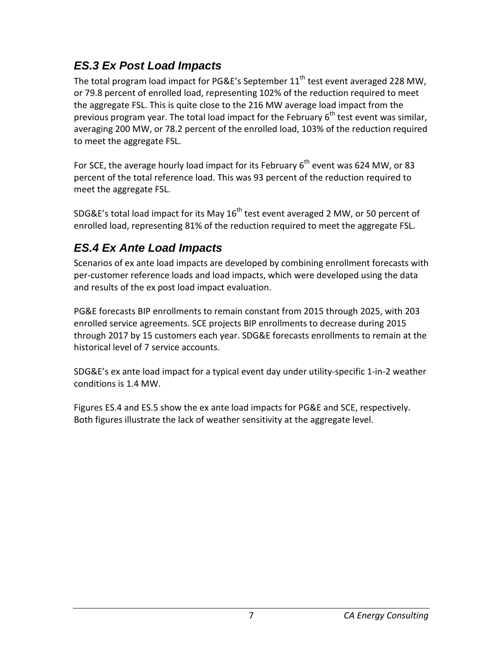# <span id="page-12-0"></span>*ES.3 Ex Post Load Impacts*

The total program load impact for PG&E's September  $11<sup>th</sup>$  test event averaged 228 MW, or 79.8 percent of enrolled load, representing 102% of the reduction required to meet the aggregate FSL. This is quite close to the 216 MW average load impact from the previous program year. The total load impact for the February  $6<sup>th</sup>$  test event was similar, averaging 200 MW, or 78.2 percent of the enrolled load, 103% of the reduction required to meet the aggregate FSL.

For SCE, the average hourly load impact for its February  $6<sup>th</sup>$  event was 624 MW, or 83 percent of the total reference load. This was 93 percent of the reduction required to meet the aggregate FSL.

SDG&E's total load impact for its May  $16<sup>th</sup>$  test event averaged 2 MW, or 50 percent of enrolled load, representing 81% of the reduction required to meet the aggregate FSL.

# <span id="page-12-1"></span>*ES.4 Ex Ante Load Impacts*

Scenarios of ex ante load impacts are developed by combining enrollment forecasts with per-customer reference loads and load impacts, which were developed using the data and results of the ex post load impact evaluation.

PG&E forecasts BIP enrollments to remain constant from 2015 through 2025, with 203 enrolled service agreements. SCE projects BIP enrollments to decrease during 2015 through 2017 by 15 customers each year. SDG&E forecasts enrollments to remain at the historical level of 7 service accounts.

SDG&E's ex ante load impact for a typical event day under utility-specific 1-in-2 weather conditions is 1.4 MW.

Figures ES.4 and ES.5 show the ex ante load impacts for PG&E and SCE, respectively. Both figures illustrate the lack of weather sensitivity at the aggregate level.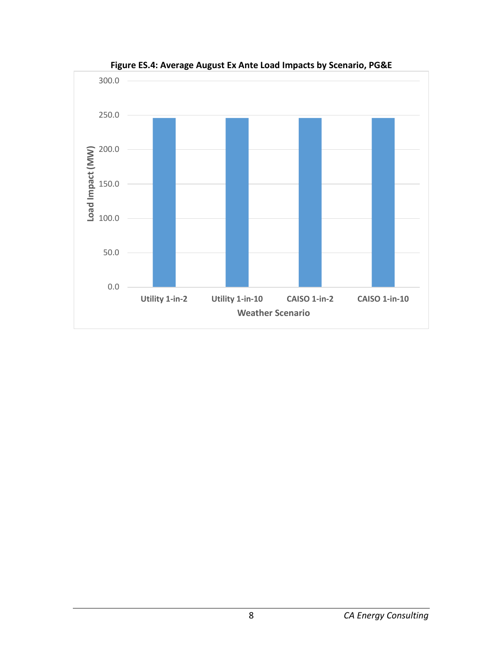<span id="page-13-0"></span>

**Figure ES.4: Average August Ex Ante Load Impacts by Scenario, PG&E**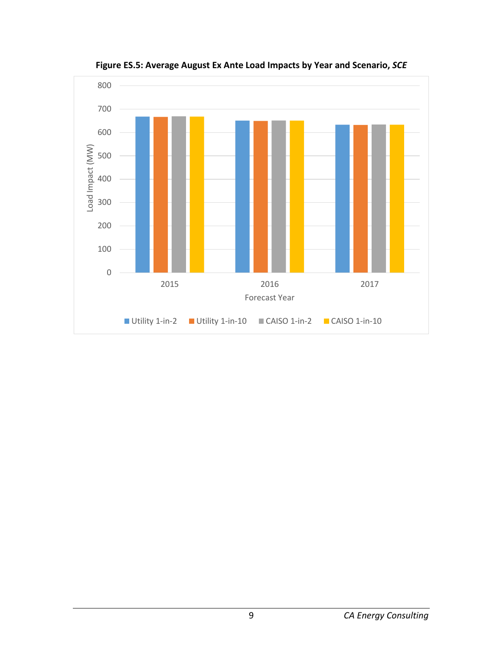<span id="page-14-0"></span>

**Figure ES.5: Average August Ex Ante Load Impacts by Year and Scenario,** *SCE*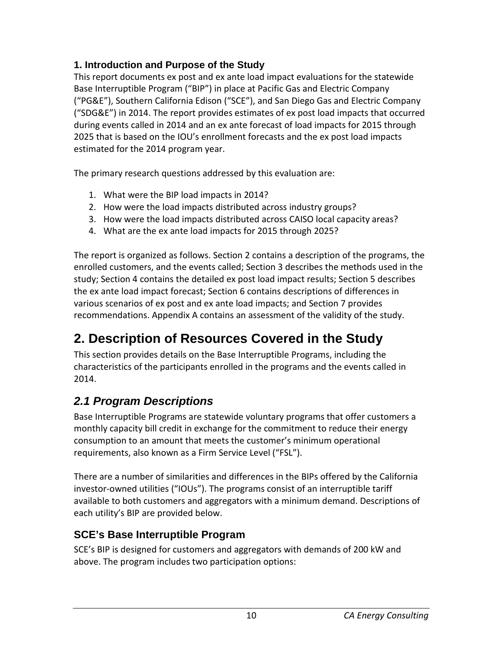#### <span id="page-15-0"></span>**1. Introduction and Purpose of the Study**

This report documents ex post and ex ante load impact evaluations for the statewide Base Interruptible Program ("BIP") in place at Pacific Gas and Electric Company ("PG&E"), Southern California Edison ("SCE"), and San Diego Gas and Electric Company ("SDG&E") in 2014. The report provides estimates of ex post load impacts that occurred during events called in 2014 and an ex ante forecast of load impacts for 2015 through 2025 that is based on the IOU's enrollment forecasts and the ex post load impacts estimated for the 2014 program year.

The primary research questions addressed by this evaluation are:

- 1. What were the BIP load impacts in 2014?
- 2. How were the load impacts distributed across industry groups?
- 3. How were the load impacts distributed across CAISO local capacity areas?
- 4. What are the ex ante load impacts for 2015 through 2025?

The report is organized as follows. Section 2 contains a description of the programs, the enrolled customers, and the events called; Section 3 describes the methods used in the study; Section 4 contains the detailed ex post load impact results; Section 5 describes the ex ante load impact forecast; Section 6 contains descriptions of differences in various scenarios of ex post and ex ante load impacts; and Section 7 provides recommendations. Appendix A contains an assessment of the validity of the study.

# <span id="page-15-1"></span>**2. Description of Resources Covered in the Study**

This section provides details on the Base Interruptible Programs, including the characteristics of the participants enrolled in the programs and the events called in 2014.

# <span id="page-15-2"></span>*2.1 Program Descriptions*

Base Interruptible Programs are statewide voluntary programs that offer customers a monthly capacity bill credit in exchange for the commitment to reduce their energy consumption to an amount that meets the customer's minimum operational requirements, also known as a Firm Service Level ("FSL").

There are a number of similarities and differences in the BIPs offered by the California investor-owned utilities ("IOUs"). The programs consist of an interruptible tariff available to both customers and aggregators with a minimum demand. Descriptions of each utility's BIP are provided below.

# <span id="page-15-3"></span>**SCE's Base Interruptible Program**

SCE's BIP is designed for customers and aggregators with demands of 200 kW and above. The program includes two participation options: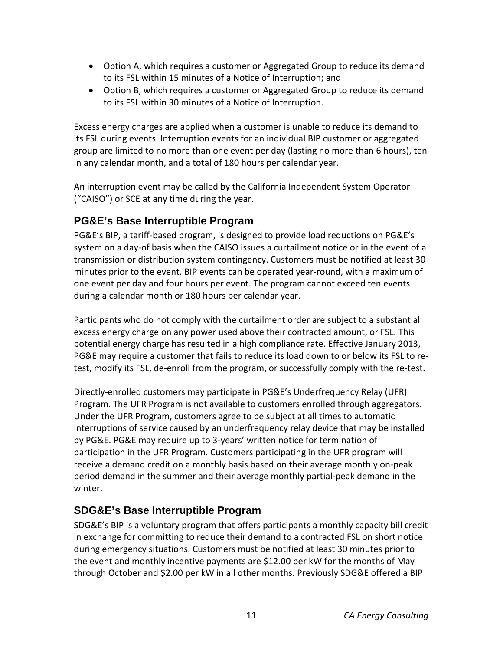- Option A, which requires a customer or Aggregated Group to reduce its demand to its FSL within 15 minutes of a Notice of Interruption; and
- Option B, which requires a customer or Aggregated Group to reduce its demand to its FSL within 30 minutes of a Notice of Interruption.

Excess energy charges are applied when a customer is unable to reduce its demand to its FSL during events. Interruption events for an individual BIP customer or aggregated group are limited to no more than one event per day (lasting no more than 6 hours), ten in any calendar month, and a total of 180 hours per calendar year.

An interruption event may be called by the California Independent System Operator ("CAISO") or SCE at any time during the year.

### <span id="page-16-0"></span>**PG&E's Base Interruptible Program**

PG&E's BIP, a tariff-based program, is designed to provide load reductions on PG&E's system on a day-of basis when the CAISO issues a curtailment notice or in the event of a transmission or distribution system contingency. Customers must be notified at least 30 minutes prior to the event. BIP events can be operated year-round, with a maximum of one event per day and four hours per event. The program cannot exceed ten events during a calendar month or 180 hours per calendar year.

Participants who do not comply with the curtailment order are subject to a substantial excess energy charge on any power used above their contracted amount, or FSL. This potential energy charge has resulted in a high compliance rate. Effective January 2013, PG&E may require a customer that fails to reduce its load down to or below its FSL to retest, modify its FSL, de-enroll from the program, or successfully comply with the re-test.

Directly-enrolled customers may participate in PG&E's Underfrequency Relay (UFR) Program. The UFR Program is not available to customers enrolled through aggregators. Under the UFR Program, customers agree to be subject at all times to automatic interruptions of service caused by an underfrequency relay device that may be installed by PG&E. PG&E may require up to 3-years' written notice for termination of participation in the UFR Program. Customers participating in the UFR program will receive a demand credit on a monthly basis based on their average monthly on-peak period demand in the summer and their average monthly partial-peak demand in the winter.

### <span id="page-16-1"></span>**SDG&E's Base Interruptible Program**

SDG&E's BIP is a voluntary program that offers participants a monthly capacity bill credit in exchange for committing to reduce their demand to a contracted FSL on short notice during emergency situations. Customers must be notified at least 30 minutes prior to the event and monthly incentive payments are \$12.00 per kW for the months of May through October and \$2.00 per kW in all other months. Previously SDG&E offered a BIP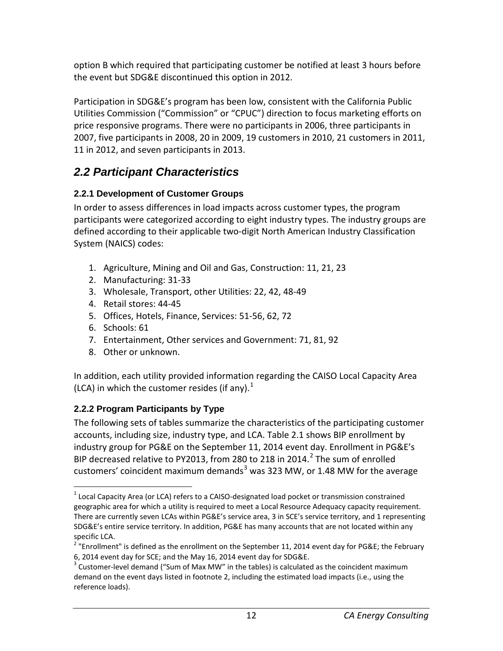option B which required that participating customer be notified at least 3 hours before the event but SDG&E discontinued this option in 2012.

Participation in SDG&E's program has been low, consistent with the California Public Utilities Commission ("Commission" or "CPUC") direction to focus marketing efforts on price responsive programs. There were no participants in 2006, three participants in 2007, five participants in 2008, 20 in 2009, 19 customers in 2010, 21 customers in 2011, 11 in 2012, and seven participants in 2013.

# <span id="page-17-0"></span>*2.2 Participant Characteristics*

### <span id="page-17-1"></span>**2.2.1 Development of Customer Groups**

In order to assess differences in load impacts across customer types, the program participants were categorized according to eight industry types. The industry groups are defined according to their applicable two-digit North American Industry Classification System (NAICS) codes:

- 1. Agriculture, Mining and Oil and Gas, Construction: 11, 21, 23
- 2. Manufacturing: 31-33
- 3. Wholesale, Transport, other Utilities: 22, 42, 48-49
- 4. Retail stores: 44-45
- 5. Offices, Hotels, Finance, Services: 51-56, 62, 72
- 6. Schools: 61
- 7. Entertainment, Other services and Government: 71, 81, 92
- 8. Other or unknown.

In addition, each utility provided information regarding the CAISO Local Capacity Area (LCA) in which the customer resides (if any). $<sup>1</sup>$  $<sup>1</sup>$  $<sup>1</sup>$ </sup>

### <span id="page-17-2"></span>**2.2.2 Program Participants by Type**

The following sets of tables summarize the characteristics of the participating customer accounts, including size, industry type, and LCA. Table 2.1 shows BIP enrollment by industry group for PG&E on the September 11, 2014 event day. Enrollment in PG&E's BIP decreased relative to PY[2](#page-17-4)013, from 280 to 218 in 2014.<sup>2</sup> The sum of enrolled customers' coincident maximum demands<sup>[3](#page-17-5)</sup> was 323 MW, or 1.48 MW for the average

<span id="page-17-3"></span> $1$  Local Capacity Area (or LCA) refers to a CAISO-designated load pocket or transmission constrained geographic area for which a utility is required to meet a Local Resource Adequacy capacity requirement. There are currently seven LCAs within PG&E's service area, 3 in SCE's service territory, and 1 representing SDG&E's entire service territory. In addition, PG&E has many accounts that are not located within any specific LCA.

<span id="page-17-4"></span> $2$  "Enrollment" is defined as the enrollment on the September 11, 2014 event day for PG&E; the February 6, 2014 event day for SCE; and the May 16, 2014 event day for SDG&E.<br><sup>3</sup> Customer-level demand ("Sum of Max MW" in the tables) is calculated as the coincident maximum

<span id="page-17-5"></span>demand on the event days listed in footnote 2, including the estimated load impacts (i.e., using the reference loads).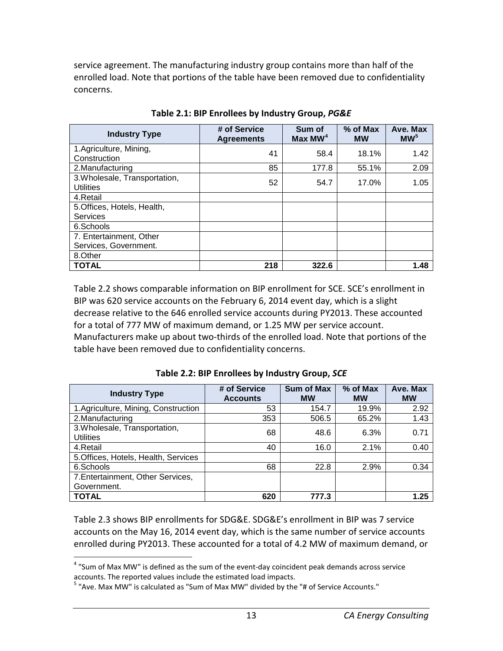service agreement. The manufacturing industry group contains more than half of the enrolled load. Note that portions of the table have been removed due to confidentiality concerns.

<span id="page-18-0"></span>

| <b>Industry Type</b>                              | # of Service<br><b>Agreements</b> | Sum of<br>Max MW <sup>4</sup> | $%$ of Max<br><b>MW</b> | Ave. Max<br>MW <sup>5</sup> |
|---------------------------------------------------|-----------------------------------|-------------------------------|-------------------------|-----------------------------|
| 1.Agriculture, Mining,<br>Construction            | 41                                | 58.4                          | 18.1%                   | 1.42                        |
| 2. Manufacturing                                  | 85                                | 177.8                         | 55.1%                   | 2.09                        |
| 3. Wholesale, Transportation,<br><b>Utilities</b> | 52                                | 54.7                          | 17.0%                   | 1.05                        |
| 4.Retail                                          |                                   |                               |                         |                             |
| 5. Offices, Hotels, Health,<br><b>Services</b>    |                                   |                               |                         |                             |
| 6.Schools                                         |                                   |                               |                         |                             |
| 7. Entertainment, Other                           |                                   |                               |                         |                             |
| Services, Government.                             |                                   |                               |                         |                             |
| 8.Other                                           |                                   |                               |                         |                             |
| <b>TOTAL</b>                                      | 218                               | 322.6                         |                         | 1.48                        |

**Table 2.1: BIP Enrollees by Industry Group,** *PG&E*

Table 2.2 shows comparable information on BIP enrollment for SCE. SCE's enrollment in BIP was 620 service accounts on the February 6, 2014 event day, which is a slight decrease relative to the 646 enrolled service accounts during PY2013. These accounted for a total of 777 MW of maximum demand, or 1.25 MW per service account. Manufacturers make up about two-thirds of the enrolled load. Note that portions of the table have been removed due to confidentiality concerns.

<span id="page-18-1"></span>

| <b>Industry Type</b>                              | # of Service<br><b>Accounts</b> | Sum of Max<br><b>MW</b> | % of Max<br><b>MW</b> | Ave. Max<br><b>MW</b> |
|---------------------------------------------------|---------------------------------|-------------------------|-----------------------|-----------------------|
| 1.Agriculture, Mining, Construction               | 53                              | 154.7                   | 19.9%                 | 2.92                  |
| 2. Manufacturing                                  | 353                             | 506.5                   | 65.2%                 | 1.43                  |
| 3. Wholesale, Transportation,<br><b>Utilities</b> | 68                              | 48.6                    | 6.3%                  | 0.71                  |
| 4.Retail                                          | 40                              | 16.0                    | 2.1%                  | 0.40                  |
| 5. Offices, Hotels, Health, Services              |                                 |                         |                       |                       |
| 6.Schools                                         | 68                              | 22.8                    | 2.9%                  | 0.34                  |
| 7. Entertainment, Other Services,                 |                                 |                         |                       |                       |
| Government.                                       |                                 |                         |                       |                       |
| <b>TOTAL</b>                                      | 620                             | 777.3                   |                       | 1.25                  |

**Table 2.2: BIP Enrollees by Industry Group,** *SCE*

Table 2.3 shows BIP enrollments for SDG&E. SDG&E's enrollment in BIP was 7 service accounts on the May 16, 2014 event day, which is the same number of service accounts enrolled during PY2013. These accounted for a total of 4.2 MW of maximum demand, or

<span id="page-18-2"></span> $4$  "Sum of Max MW" is defined as the sum of the event-day coincident peak demands across service accounts. The reported values include the estimated load impacts.

<span id="page-18-3"></span> $<sup>5</sup>$  "Ave. Max MW" is calculated as "Sum of Max MW" divided by the "# of Service Accounts."</sup>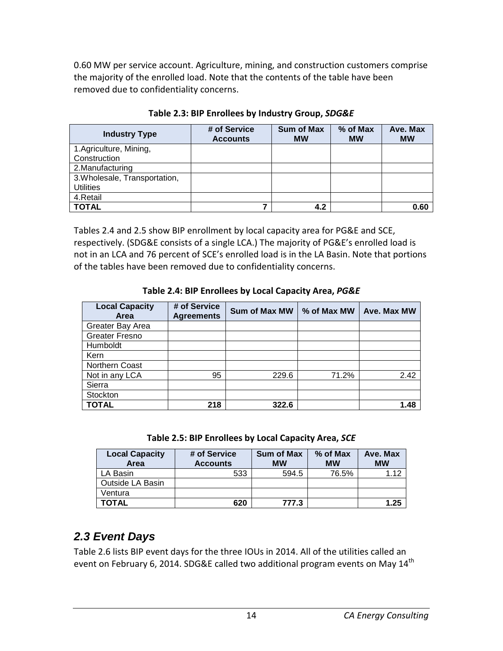0.60 MW per service account. Agriculture, mining, and construction customers comprise the majority of the enrolled load. Note that the contents of the table have been removed due to confidentiality concerns.

<span id="page-19-1"></span>

| <b>Industry Type</b>          | # of Service<br><b>Accounts</b> | <b>Sum of Max</b><br><b>MW</b> | % of Max<br><b>MW</b> | Ave. Max<br><b>MW</b> |
|-------------------------------|---------------------------------|--------------------------------|-----------------------|-----------------------|
| 1.Agriculture, Mining,        |                                 |                                |                       |                       |
| Construction                  |                                 |                                |                       |                       |
| 2. Manufacturing              |                                 |                                |                       |                       |
| 3. Wholesale, Transportation, |                                 |                                |                       |                       |
| <b>Utilities</b>              |                                 |                                |                       |                       |
| 4.Retail                      |                                 |                                |                       |                       |
| <b>TOTAL</b>                  | 7                               | 4.2                            |                       | 0.60                  |

**Table 2.3: BIP Enrollees by Industry Group,** *SDG&E*

Tables 2.4 and 2.5 show BIP enrollment by local capacity area for PG&E and SCE, respectively. (SDG&E consists of a single LCA.) The majority of PG&E's enrolled load is not in an LCA and 76 percent of SCE's enrolled load is in the LA Basin. Note that portions of the tables have been removed due to confidentiality concerns.

#### **Table 2.4: BIP Enrollees by Local Capacity Area,** *PG&E*

<span id="page-19-2"></span>

| <b>Local Capacity</b><br>Area | # of Service<br><b>Agreements</b> | <b>Sum of Max MW</b> | % of Max MW | <b>Ave. Max MW</b> |
|-------------------------------|-----------------------------------|----------------------|-------------|--------------------|
| Greater Bay Area              |                                   |                      |             |                    |
| <b>Greater Fresno</b>         |                                   |                      |             |                    |
| Humboldt                      |                                   |                      |             |                    |
| Kern                          |                                   |                      |             |                    |
| Northern Coast                |                                   |                      |             |                    |
| Not in any LCA                | 95                                | 229.6                | 71.2%       | 2.42               |
| Sierra                        |                                   |                      |             |                    |
| Stockton                      |                                   |                      |             |                    |
| <b>TOTAL</b>                  | 218                               | 322.6                |             | .48                |

**Table 2.5: BIP Enrollees by Local Capacity Area,** *SCE*

<span id="page-19-3"></span>

| <b>Local Capacity</b><br>Area | # of Service<br><b>Accounts</b> | <b>Sum of Max</b><br><b>MW</b> | $%$ of Max<br><b>MW</b> | Ave. Max<br><b>MW</b> |
|-------------------------------|---------------------------------|--------------------------------|-------------------------|-----------------------|
| LA Basin                      | 533                             | 594.5                          | 76.5%                   | 1.12                  |
| Outside LA Basin              |                                 |                                |                         |                       |
| Ventura                       |                                 |                                |                         |                       |
| <b>TOTAL</b>                  | 620                             | 777.3                          |                         | 1.25                  |

# <span id="page-19-0"></span>*2.3 Event Days*

Table 2.6 lists BIP event days for the three IOUs in 2014. All of the utilities called an event on February 6, 2014. SDG&E called two additional program events on May 14<sup>th</sup>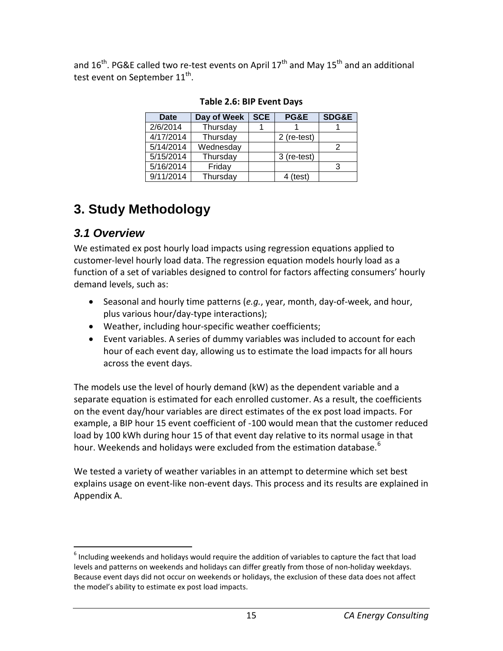<span id="page-20-2"></span>and  $16^{th}$ . PG&E called two re-test events on April  $17^{th}$  and May  $15^{th}$  and an additional test event on September 11<sup>th</sup>.

| <b>Date</b> | Day of Week | <b>SCE</b> | <b>PG&amp;E</b> | <b>SDG&amp;E</b> |
|-------------|-------------|------------|-----------------|------------------|
| 2/6/2014    | Thursday    |            |                 |                  |
| 4/17/2014   | Thursday    |            | 2 (re-test)     |                  |
| 5/14/2014   | Wednesday   |            |                 | 2                |
| 5/15/2014   | Thursday    |            | 3 (re-test)     |                  |
| 5/16/2014   | Friday      |            |                 | 3                |
| 9/11/2014   | Thursday    |            | 4 (test)        |                  |

**Table 2.6: BIP Event Days**

# <span id="page-20-0"></span>**3. Study Methodology**

# <span id="page-20-1"></span>*3.1 Overview*

We estimated ex post hourly load impacts using regression equations applied to customer-level hourly load data. The regression equation models hourly load as a function of a set of variables designed to control for factors affecting consumers' hourly demand levels, such as:

- Seasonal and hourly time patterns (*e.g.*, year, month, day-of-week, and hour, plus various hour/day-type interactions);
- Weather, including hour-specific weather coefficients;
- Event variables. A series of dummy variables was included to account for each hour of each event day, allowing us to estimate the load impacts for all hours across the event days.

The models use the level of hourly demand (kW) as the dependent variable and a separate equation is estimated for each enrolled customer. As a result, the coefficients on the event day/hour variables are direct estimates of the ex post load impacts. For example, a BIP hour 15 event coefficient of -100 would mean that the customer reduced load by 100 kWh during hour 15 of that event day relative to its normal usage in that hour. Weekends and holidays were excluded from the estimation database.<sup>[6](#page-20-3)</sup>

We tested a variety of weather variables in an attempt to determine which set best explains usage on event-like non-event days. This process and its results are explained in Appendix A.

<span id="page-20-3"></span> $6$  Including weekends and holidays would require the addition of variables to capture the fact that load levels and patterns on weekends and holidays can differ greatly from those of non-holiday weekdays. Because event days did not occur on weekends or holidays, the exclusion of these data does not affect the model's ability to estimate ex post load impacts.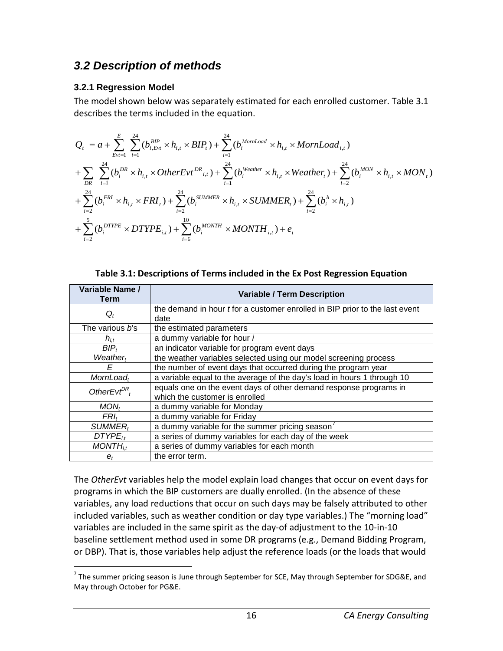### <span id="page-21-0"></span>*3.2 Description of methods*

#### <span id="page-21-1"></span>**3.2.1 Regression Model**

The model shown below was separately estimated for each enrolled customer. Table 3.1 describes the terms included in the equation.

$$
Q_{t} = a + \sum_{Evt=1}^{E} \sum_{i=1}^{24} (b_{i, Evt}^{BIP} \times h_{i,t} \times BIP_{t}) + \sum_{i=1}^{24} (b_{i}^{MornLoad} \times h_{i,t} \times MornLoad_{i,t})
$$
  
+
$$
\sum_{DR} \sum_{i=1}^{24} (b_{i}^{DR} \times h_{i,t} \times OtherEvt^{DR}_{i,t}) + \sum_{i=1}^{24} (b_{i}^{Weather} \times h_{i,t} \times Weather_{t}) + \sum_{i=2}^{24} (b_{i}^{MON} \times h_{i,t} \times MON_{t})
$$
  
+
$$
\sum_{i=2}^{24} (b_{i}^{FRI} \times h_{i,t} \times FRI_{t}) + \sum_{i=2}^{24} (b_{i}^{SUMMER} \times h_{i,t} \times SUMMER_{t}) + \sum_{i=2}^{24} (b_{i}^{h} \times h_{i,t})
$$
  
+
$$
\sum_{i=2}^{5} (b_{i}^{DTYPE} \times DTYPE_{i,t}) + \sum_{i=6}^{10} (b_{i}^{MONTH} \times MONTH_{i,t}) + e_{t}
$$

<span id="page-21-2"></span>

| Variable Name /<br>Term             | <b>Variable / Term Description</b>                                                 |  |  |  |  |
|-------------------------------------|------------------------------------------------------------------------------------|--|--|--|--|
|                                     | the demand in hour <i>t</i> for a customer enrolled in BIP prior to the last event |  |  |  |  |
| $Q_t$                               | date                                                                               |  |  |  |  |
| The various b's                     | the estimated parameters                                                           |  |  |  |  |
| $h_{i,t}$                           | a dummy variable for hour i                                                        |  |  |  |  |
| $BIP_t$                             | an indicator variable for program event days                                       |  |  |  |  |
| Weather <sub>t</sub>                | the weather variables selected using our model screening process                   |  |  |  |  |
| F                                   | the number of event days that occurred during the program year                     |  |  |  |  |
| $MornLoad_t$                        | a variable equal to the average of the day's load in hours 1 through 10            |  |  |  |  |
| OtherEvt <sup><math>DR</math></sup> | equals one on the event days of other demand response programs in                  |  |  |  |  |
|                                     | which the customer is enrolled                                                     |  |  |  |  |
| MON <sub>t</sub>                    | a dummy variable for Monday                                                        |  |  |  |  |
| $FRI_t$                             | a dummy variable for Friday                                                        |  |  |  |  |
| <b>SUMMER</b>                       | a dummy variable for the summer pricing season <sup>7</sup>                        |  |  |  |  |
| $DTYPE_{it}$                        | a series of dummy variables for each day of the week                               |  |  |  |  |
| $MONTH_{it}$                        | a series of dummy variables for each month                                         |  |  |  |  |
| $e_t$                               | the error term.                                                                    |  |  |  |  |

The *OtherEvt* variables help the model explain load changes that occur on event days for programs in which the BIP customers are dually enrolled. (In the absence of these variables, any load reductions that occur on such days may be falsely attributed to other included variables, such as weather condition or day type variables.) The "morning load" variables are included in the same spirit as the day-of adjustment to the 10-in-10 baseline settlement method used in some DR programs (e.g., Demand Bidding Program, or DBP). That is, those variables help adjust the reference loads (or the loads that would

<span id="page-21-3"></span> $7$  The summer pricing season is June through September for SCE, May through September for SDG&E, and May through October for PG&E.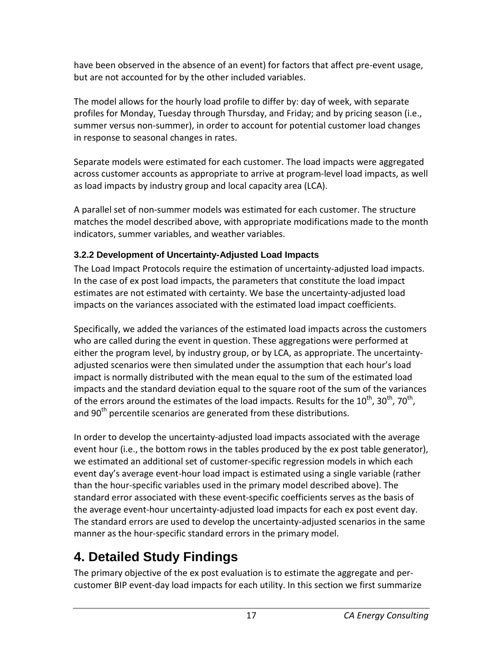have been observed in the absence of an event) for factors that affect pre-event usage, but are not accounted for by the other included variables.

The model allows for the hourly load profile to differ by: day of week, with separate profiles for Monday, Tuesday through Thursday, and Friday; and by pricing season (i.e., summer versus non-summer), in order to account for potential customer load changes in response to seasonal changes in rates.

Separate models were estimated for each customer. The load impacts were aggregated across customer accounts as appropriate to arrive at program-level load impacts, as well as load impacts by industry group and local capacity area (LCA).

A parallel set of non-summer models was estimated for each customer. The structure matches the model described above, with appropriate modifications made to the month indicators, summer variables, and weather variables.

#### <span id="page-22-0"></span>**3.2.2 Development of Uncertainty-Adjusted Load Impacts**

The Load Impact Protocols require the estimation of uncertainty-adjusted load impacts. In the case of ex post load impacts, the parameters that constitute the load impact estimates are not estimated with certainty. We base the uncertainty-adjusted load impacts on the variances associated with the estimated load impact coefficients.

Specifically, we added the variances of the estimated load impacts across the customers who are called during the event in question. These aggregations were performed at either the program level, by industry group, or by LCA, as appropriate. The uncertaintyadjusted scenarios were then simulated under the assumption that each hour's load impact is normally distributed with the mean equal to the sum of the estimated load impacts and the standard deviation equal to the square root of the sum of the variances of the errors around the estimates of the load impacts. Results for the  $10^{th}$ ,  $30^{th}$ ,  $70^{th}$ , and 90<sup>th</sup> percentile scenarios are generated from these distributions.

In order to develop the uncertainty-adjusted load impacts associated with the average event hour (i.e., the bottom rows in the tables produced by the ex post table generator), we estimated an additional set of customer-specific regression models in which each event day's average event-hour load impact is estimated using a single variable (rather than the hour-specific variables used in the primary model described above). The standard error associated with these event-specific coefficients serves as the basis of the average event-hour uncertainty-adjusted load impacts for each ex post event day. The standard errors are used to develop the uncertainty-adjusted scenarios in the same manner as the hour-specific standard errors in the primary model.

# <span id="page-22-1"></span>**4. Detailed Study Findings**

The primary objective of the ex post evaluation is to estimate the aggregate and percustomer BIP event-day load impacts for each utility. In this section we first summarize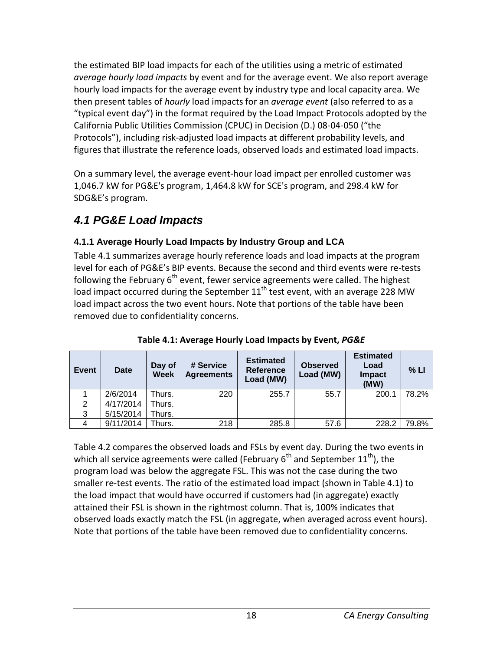the estimated BIP load impacts for each of the utilities using a metric of estimated *average hourly load impacts* by event and for the average event. We also report average hourly load impacts for the average event by industry type and local capacity area. We then present tables of *hourly* load impacts for an *average event* (also referred to as a "typical event day") in the format required by the Load Impact Protocols adopted by the California Public Utilities Commission (CPUC) in Decision (D.) 08-04-050 ("the Protocols"), including risk-adjusted load impacts at different probability levels, and figures that illustrate the reference loads, observed loads and estimated load impacts.

On a summary level, the average event-hour load impact per enrolled customer was 1,046.7 kW for PG&E's program, 1,464.8 kW for SCE's program, and 298.4 kW for SDG&E's program.

# <span id="page-23-0"></span>*4.1 PG&E Load Impacts*

#### <span id="page-23-1"></span>**4.1.1 Average Hourly Load Impacts by Industry Group and LCA**

Table 4.1 summarizes average hourly reference loads and load impacts at the program level for each of PG&E's BIP events. Because the second and third events were re-tests following the February  $6<sup>th</sup>$  event, fewer service agreements were called. The highest load impact occurred during the September  $11<sup>th</sup>$  test event, with an average 228 MW load impact across the two event hours. Note that portions of the table have been removed due to confidentiality concerns.

<span id="page-23-2"></span>

| Event | <b>Date</b> | Day of<br><b>Week</b> | # Service<br><b>Agreements</b> | <b>Estimated</b><br><b>Reference</b><br>Load (MW) | <b>Observed</b><br>Load (MW) | <b>Estimated</b><br>Load<br><b>Impact</b><br>(MW) | % LI  |
|-------|-------------|-----------------------|--------------------------------|---------------------------------------------------|------------------------------|---------------------------------------------------|-------|
|       | 2/6/2014    | Thurs.                | 220                            | 255.7                                             | 55.7                         | 200.1                                             | 78.2% |
| 2     | 4/17/2014   | Thurs.                |                                |                                                   |                              |                                                   |       |
| 3     | 5/15/2014   | Thurs.                |                                |                                                   |                              |                                                   |       |
|       | 9/11/2014   | Thurs.                | 218                            | 285.8                                             | 57.6                         | 228.2                                             | 79.8% |

**Table 4.1: Average Hourly Load Impacts by Event,** *PG&E*

Table 4.2 compares the observed loads and FSLs by event day. During the two events in which all service agreements were called (February  $6<sup>th</sup>$  and September  $11<sup>th</sup>$ ), the program load was below the aggregate FSL. This was not the case during the two smaller re-test events. The ratio of the estimated load impact (shown in Table 4.1) to the load impact that would have occurred if customers had (in aggregate) exactly attained their FSL is shown in the rightmost column. That is, 100% indicates that observed loads exactly match the FSL (in aggregate, when averaged across event hours). Note that portions of the table have been removed due to confidentiality concerns.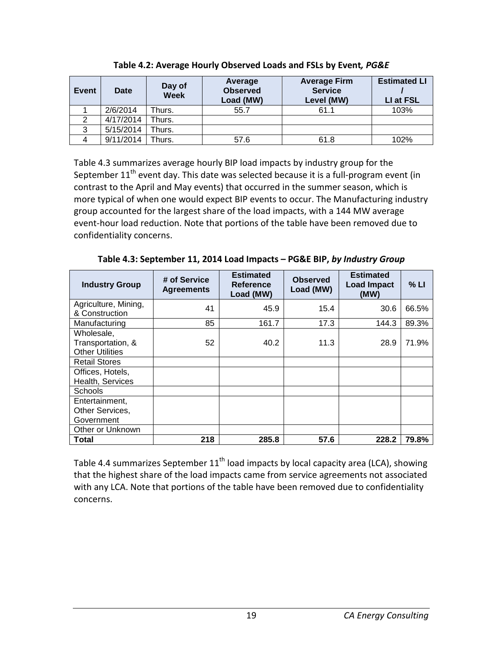<span id="page-24-0"></span>

| Event | Date      | Day of<br>Week | Average<br><b>Observed</b><br>Load (MW) | <b>Average Firm</b><br><b>Service</b><br>Level (MW) |      |
|-------|-----------|----------------|-----------------------------------------|-----------------------------------------------------|------|
|       | 2/6/2014  | Thurs.         | 55.7                                    | 61.1                                                | 103% |
| 2     | 4/17/2014 | Thurs.         |                                         |                                                     |      |
| 3     | 5/15/2014 | Thurs.         |                                         |                                                     |      |
|       | 9/11/2014 | Thurs.         | 57.6                                    | 61.8                                                | 102% |

**Table 4.2: Average Hourly Observed Loads and FSLs by Event***, PG&E*

Table 4.3 summarizes average hourly BIP load impacts by industry group for the September  $11<sup>th</sup>$  event day. This date was selected because it is a full-program event (in contrast to the April and May events) that occurred in the summer season, which is more typical of when one would expect BIP events to occur. The Manufacturing industry group accounted for the largest share of the load impacts, with a 144 MW average event-hour load reduction. Note that portions of the table have been removed due to confidentiality concerns.

**Table 4.3: September 11, 2014 Load Impacts – PG&E BIP,** *by Industry Group*

<span id="page-24-1"></span>

| <b>Industry Group</b>                                     | # of Service<br><b>Agreements</b> | <b>Estimated</b><br><b>Reference</b><br>Load (MW) | <b>Observed</b><br>Load (MW) | <b>Estimated</b><br><b>Load Impact</b><br>(MW) | % LI  |
|-----------------------------------------------------------|-----------------------------------|---------------------------------------------------|------------------------------|------------------------------------------------|-------|
| Agriculture, Mining,<br>& Construction                    | 41                                | 45.9                                              | 15.4                         | 30.6                                           | 66.5% |
| Manufacturing                                             | 85                                | 161.7                                             | 17.3                         | 144.3                                          | 89.3% |
| Wholesale,<br>Transportation, &<br><b>Other Utilities</b> | 52                                | 40.2                                              | 11.3                         | 28.9                                           | 71.9% |
| <b>Retail Stores</b>                                      |                                   |                                                   |                              |                                                |       |
| Offices, Hotels,<br>Health, Services                      |                                   |                                                   |                              |                                                |       |
| <b>Schools</b>                                            |                                   |                                                   |                              |                                                |       |
| Entertainment,<br>Other Services,<br>Government           |                                   |                                                   |                              |                                                |       |
| Other or Unknown                                          |                                   |                                                   |                              |                                                |       |
| Total                                                     | 218                               | 285.8                                             | 57.6                         | 228.2                                          | 79.8% |

Table 4.4 summarizes September  $11<sup>th</sup>$  load impacts by local capacity area (LCA), showing that the highest share of the load impacts came from service agreements not associated with any LCA. Note that portions of the table have been removed due to confidentiality concerns.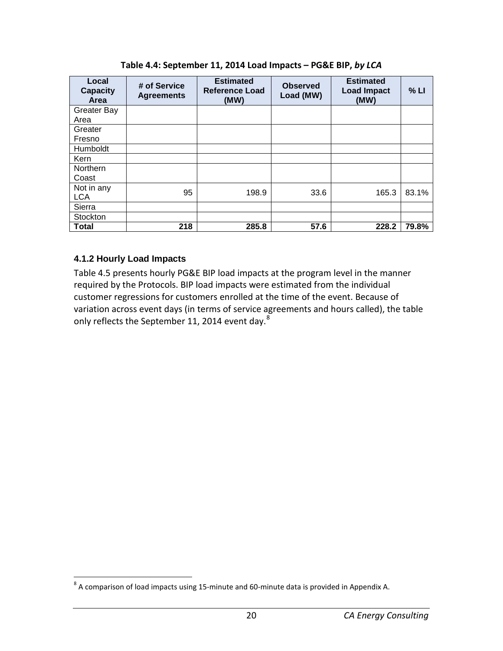<span id="page-25-1"></span>

| Local<br><b>Capacity</b><br>Area | # of Service<br><b>Agreements</b> | <b>Estimated</b><br>Reference Load<br>(MW) | <b>Observed</b><br>Load (MW) | <b>Estimated</b><br><b>Load Impact</b><br>(MW) | % LI  |
|----------------------------------|-----------------------------------|--------------------------------------------|------------------------------|------------------------------------------------|-------|
| <b>Greater Bay</b>               |                                   |                                            |                              |                                                |       |
| Area                             |                                   |                                            |                              |                                                |       |
| Greater                          |                                   |                                            |                              |                                                |       |
| Fresno                           |                                   |                                            |                              |                                                |       |
| Humboldt                         |                                   |                                            |                              |                                                |       |
| Kern                             |                                   |                                            |                              |                                                |       |
| <b>Northern</b>                  |                                   |                                            |                              |                                                |       |
| Coast                            |                                   |                                            |                              |                                                |       |
| Not in any                       | 95                                | 198.9                                      | 33.6                         | 165.3                                          | 83.1% |
| <b>LCA</b>                       |                                   |                                            |                              |                                                |       |
| Sierra                           |                                   |                                            |                              |                                                |       |
| Stockton                         |                                   |                                            |                              |                                                |       |
| <b>Total</b>                     | 218                               | 285.8                                      | 57.6                         | 228.2                                          | 79.8% |

**Table 4.4: September 11, 2014 Load Impacts – PG&E BIP,** *by LCA*

#### <span id="page-25-0"></span>**4.1.2 Hourly Load Impacts**

Table 4.5 presents hourly PG&E BIP load impacts at the program level in the manner required by the Protocols. BIP load impacts were estimated from the individual customer regressions for customers enrolled at the time of the event. Because of variation across event days (in terms of service agreements and hours called), the table only reflects the September 11, 2014 event day.<sup>[8](#page-25-2)</sup>

<span id="page-25-2"></span><sup>&</sup>lt;sup>8</sup> A comparison of load impacts using 15-minute and 60-minute data is provided in Appendix A.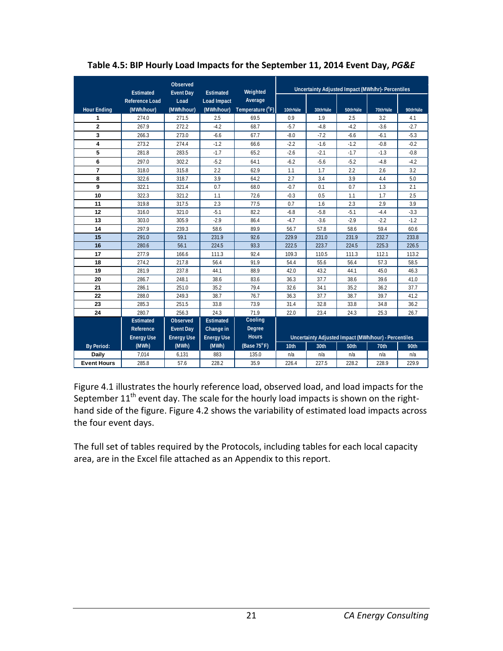|                         |                                           | <b>Observed</b>          |                                        | Weighted              |          |          |          | Uncertainty Adjusted Impact (MWh/hr)- Percentiles    |          |
|-------------------------|-------------------------------------------|--------------------------|----------------------------------------|-----------------------|----------|----------|----------|------------------------------------------------------|----------|
|                         | <b>Estimated</b><br><b>Reference Load</b> | <b>Event Day</b><br>Load | <b>Estimated</b><br><b>Load Impact</b> | Average               |          |          |          |                                                      |          |
| <b>Hour Ending</b>      | (MWh/hour)                                | (MWh/hour)               | (MWh/hour)                             | Temperature (°F)      | 10th%ile | 30th%ile | 50th%ile | 70th%ile                                             | 90th%ile |
| 1                       | 274.0                                     | 271.5                    | 2.5                                    | 69.5                  | 0.9      | 1.9      | 2.5      | 3.2                                                  | 4.1      |
| $\overline{\mathbf{2}}$ | 267.9                                     | 272.2                    | $-4.2$                                 | 68.7                  | $-5.7$   | $-4.8$   | $-4.2$   | $-3.6$                                               | $-2.7$   |
| 3                       | 266.3                                     | 273.0                    | $-6.6$                                 | 67.7                  | $-8.0$   | $-7.2$   | $-6.6$   | $-6.1$                                               | $-5.3$   |
| 4                       | 273.2                                     | 274.4                    | $-1.2$                                 | 66.6                  | $-2.2$   | $-1.6$   | $-1.2$   | $-0.8$                                               | $-0.2$   |
| 5                       | 281.8                                     | 283.5                    | $-1.7$                                 | 65.2                  | $-2.6$   | $-2.1$   | $-1.7$   | $-1.3$                                               | $-0.8$   |
| 6                       | 297.0                                     | 302.2                    | $-5.2$                                 | 64.1                  | $-6.2$   | $-5.6$   | $-5.2$   | $-4.8$                                               | $-4.2$   |
| $\overline{7}$          | 318.0                                     | 315.8                    | 2.2                                    | 62.9                  | 1.1      | 1.7      | 2.2      | 2.6                                                  | 3.2      |
| 8                       | 322.6                                     | 318.7                    | 3.9                                    | 64.2                  | 2.7      | 3.4      | 3.9      | 4.4                                                  | 5.0      |
| 9                       | 322.1                                     | 321.4                    | 0.7                                    | 68.0                  | $-0.7$   | 0.1      | 0.7      | 1.3                                                  | 2.1      |
| 10                      | 322.3                                     | 321.2                    | 1.1                                    | 72.6                  | $-0.3$   | 0.5      | 1.1      | 1.7                                                  | 2.5      |
| 11                      | 319.8                                     | 317.5                    | 2.3                                    | 77.5                  | 0.7      | 1.6      | 2.3      | 2.9                                                  | 3.9      |
| 12                      | 316.0                                     | 321.0                    | $-5.1$                                 | 82.2                  | $-6.8$   | $-5.8$   | $-5.1$   | $-4.4$                                               | $-3.3$   |
| 13                      | 303.0                                     | 305.9                    | $-2.9$                                 | 86.4                  | $-4.7$   | $-3.6$   | $-2.9$   | $-2.2$                                               | $-1.2$   |
| 14                      | 297.9                                     | 239.3                    | 58.6                                   | 89.9                  | 56.7     | 57.8     | 58.6     | 59.4                                                 | 60.6     |
| 15                      | 291.0                                     | 59.1                     | 231.9                                  | 92.6                  | 229.9    | 231.0    | 231.9    | 232.7                                                | 233.8    |
| 16                      | 280.6                                     | 56.1                     | 224.5                                  | 93.3                  | 222.5    | 223.7    | 224.5    | 225.3                                                | 226.5    |
| 17                      | 277.9                                     | 166.6                    | 111.3                                  | 92.4                  | 109.3    | 110.5    | 111.3    | 112.1                                                | 113.2    |
| 18                      | 274.2                                     | 217.8                    | 56.4                                   | 91.9                  | 54.4     | 55.6     | 56.4     | 57.3                                                 | 58.5     |
| 19                      | 281.9                                     | 237.8                    | 44.1                                   | 88.9                  | 42.0     | 43.2     | 44.1     | 45.0                                                 | 46.3     |
| 20                      | 286.7                                     | 248.1                    | 38.6                                   | 83.6                  | 36.3     | 37.7     | 38.6     | 39.6                                                 | 41.0     |
| 21                      | 286.1                                     | 251.0                    | 35.2                                   | 79.4                  | 32.6     | 34.1     | 35.2     | 36.2                                                 | 37.7     |
| 22                      | 288.0                                     | 249.3                    | 38.7                                   | 76.7                  | 36.3     | 37.7     | 38.7     | 39.7                                                 | 41.2     |
| 23                      | 285.3                                     | 251.5                    | 33.8                                   | 73.9                  | 31.4     | 32.8     | 33.8     | 34.8                                                 | 36.2     |
| 24                      | 280.7                                     | 256.3                    | 24.3                                   | 71.9                  | 22.0     | 23.4     | 24.3     | 25.3                                                 | 26.7     |
|                         | <b>Estimated</b>                          | Observed                 | <b>Estimated</b>                       | Cooling               |          |          |          |                                                      |          |
|                         | Reference                                 | <b>Event Day</b>         | Change in                              | Degree                |          |          |          |                                                      |          |
|                         | <b>Energy Use</b>                         | <b>Energy Use</b>        | <b>Energy Use</b>                      | <b>Hours</b>          |          |          |          | Uncertainty Adjusted Impact (MWh/hour) - Percentiles |          |
| <b>By Period:</b>       | (MWh)                                     | (MWh)                    | (MWh)                                  | (Base $75^{\circ}$ F) | 10th     | 30th     | 50th     | 70th                                                 | 90th     |
| <b>Daily</b>            | 7,014                                     | 6,131                    | 883                                    | 135.0                 | n/a      | n/a      | n/a      | n/a                                                  | n/a      |
| <b>Event Hours</b>      | 285.8                                     | 57.6                     | 228.2                                  | 35.9                  | 226.4    | 227.5    | 228.2    | 228.9                                                | 229.9    |

<span id="page-26-0"></span>**Table 4.5: BIP Hourly Load Impacts for the September 11, 2014 Event Day,** *PG&E*

Figure 4.1 illustrates the hourly reference load, observed load, and load impacts for the September  $11<sup>th</sup>$  event day. The scale for the hourly load impacts is shown on the righthand side of the figure. Figure 4.2 shows the variability of estimated load impacts across the four event days.

The full set of tables required by the Protocols, including tables for each local capacity area, are in the Excel file attached as an Appendix to this report.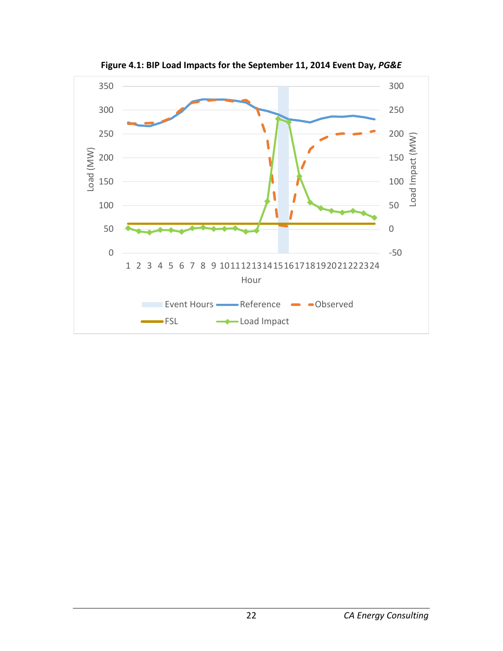<span id="page-27-0"></span>

**Figure 4.1: BIP Load Impacts for the September 11, 2014 Event Day,** *PG&E*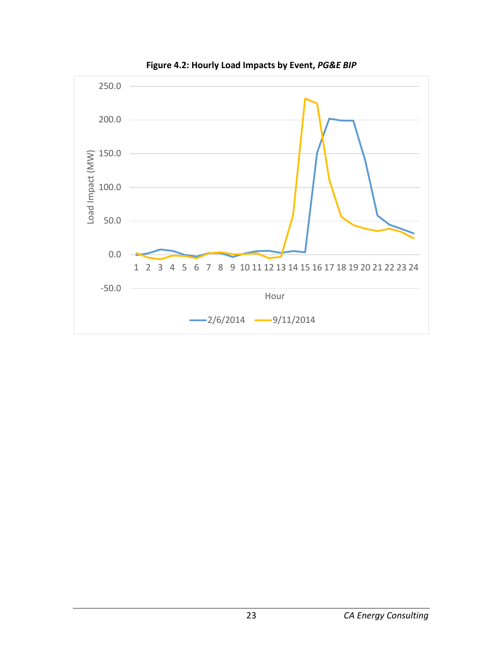<span id="page-28-0"></span>![](_page_28_Figure_0.jpeg)

**Figure 4.2: Hourly Load Impacts by Event,** *PG&E BIP*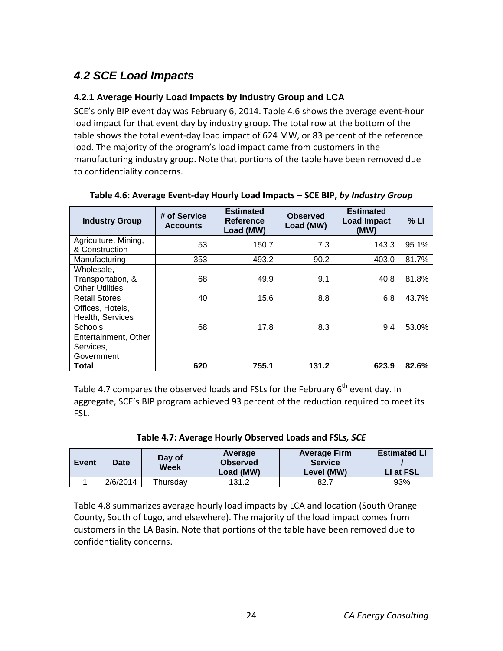# <span id="page-29-0"></span>*4.2 SCE Load Impacts*

#### <span id="page-29-1"></span>**4.2.1 Average Hourly Load Impacts by Industry Group and LCA**

SCE's only BIP event day was February 6, 2014. Table 4.6 shows the average event-hour load impact for that event day by industry group. The total row at the bottom of the table shows the total event-day load impact of 624 MW, or 83 percent of the reference load. The majority of the program's load impact came from customers in the manufacturing industry group. Note that portions of the table have been removed due to confidentiality concerns.

| <b>Industry Group</b>  | # of Service<br><b>Accounts</b> | <b>Estimated</b><br>Reference<br>Load (MW) | <b>Observed</b><br>Load (MW) | <b>Estimated</b><br><b>Load Impact</b><br>(MW) | % LI  |
|------------------------|---------------------------------|--------------------------------------------|------------------------------|------------------------------------------------|-------|
| Agriculture, Mining,   | 53                              | 150.7                                      | 7.3                          | 143.3                                          | 95.1% |
| & Construction         |                                 |                                            |                              |                                                |       |
| Manufacturing          | 353                             | 493.2                                      | 90.2                         | 403.0                                          | 81.7% |
| Wholesale,             |                                 |                                            |                              |                                                |       |
| Transportation, &      | 68                              | 49.9                                       | 9.1                          | 40.8                                           | 81.8% |
| <b>Other Utilities</b> |                                 |                                            |                              |                                                |       |
| <b>Retail Stores</b>   | 40                              | 15.6                                       | 8.8                          | 6.8                                            | 43.7% |
| Offices, Hotels,       |                                 |                                            |                              |                                                |       |
| Health, Services       |                                 |                                            |                              |                                                |       |
| <b>Schools</b>         | 68                              | 17.8                                       | 8.3                          | 9.4                                            | 53.0% |
| Entertainment, Other   |                                 |                                            |                              |                                                |       |
| Services,              |                                 |                                            |                              |                                                |       |
| Government             |                                 |                                            |                              |                                                |       |
| <b>Total</b>           | 620                             | 755.1                                      | 131.2                        | 623.9                                          | 82.6% |

#### <span id="page-29-2"></span>**Table 4.6: Average Event-day Hourly Load Impacts – SCE BIP,** *by Industry Group*

Table 4.7 compares the observed loads and FSLs for the February  $6<sup>th</sup>$  event day. In aggregate, SCE's BIP program achieved 93 percent of the reduction required to meet its FSL.

<span id="page-29-3"></span>

| Event | <b>Date</b> | Day of<br>Week | Average<br><b>Observed</b><br>Load (MW) | <b>Average Firm</b><br><b>Service</b><br>Level (MW) | <b>Estimated LI</b><br>LI at FSL |
|-------|-------------|----------------|-----------------------------------------|-----------------------------------------------------|----------------------------------|
|       | 2/6/2014    | Thursdav       | 131.2                                   | 82.7                                                | 93%                              |

Table 4.8 summarizes average hourly load impacts by LCA and location (South Orange County, South of Lugo, and elsewhere). The majority of the load impact comes from customers in the LA Basin. Note that portions of the table have been removed due to confidentiality concerns.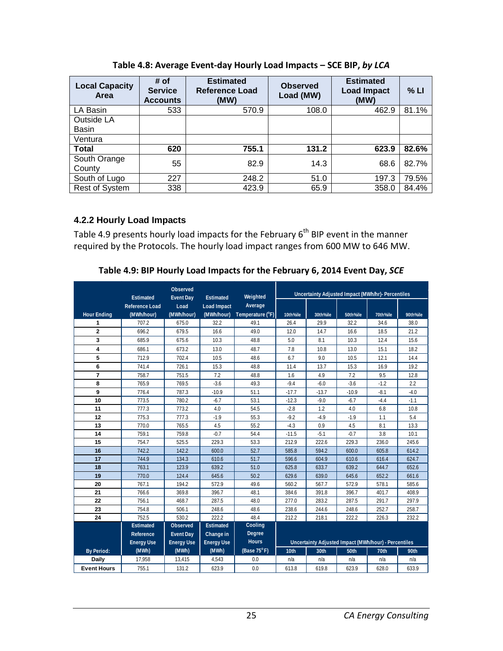<span id="page-30-1"></span>

| <b>Local Capacity</b><br>Area | # of<br><b>Service</b><br><b>Accounts</b> | <b>Estimated</b><br><b>Reference Load</b><br>(MW) | <b>Observed</b><br>Load (MW) | <b>Estimated</b><br><b>Load Impact</b><br>(MW) | % LI  |
|-------------------------------|-------------------------------------------|---------------------------------------------------|------------------------------|------------------------------------------------|-------|
| LA Basin                      | 533                                       | 570.9                                             | 108.0                        | 462.9                                          | 81.1% |
| Outside LA<br><b>Basin</b>    |                                           |                                                   |                              |                                                |       |
| Ventura                       |                                           |                                                   |                              |                                                |       |
| <b>Total</b>                  | 620                                       | 755.1                                             | 131.2                        | 623.9                                          | 82.6% |
| South Orange<br>County        | 55                                        | 82.9                                              | 14.3                         | 68.6                                           | 82.7% |
| South of Lugo                 | 227                                       | 248.2                                             | 51.0                         | 197.3                                          | 79.5% |
| <b>Rest of System</b>         | 338                                       | 423.9                                             | 65.9                         | 358.0                                          | 84.4% |

**Table 4.8: Average Event-day Hourly Load Impacts – SCE BIP,** *by LCA*

#### <span id="page-30-0"></span>**4.2.2 Hourly Load Impacts**

Table 4.9 presents hourly load impacts for the February 6<sup>th</sup> BIP event in the manner required by the Protocols. The hourly load impact ranges from 600 MW to 646 MW.

**Table 4.9: BIP Hourly Load Impacts for the February 6, 2014 Event Day,** *SCE*

<span id="page-30-2"></span>

|                    | Estimated             | Observed<br><b>Event Day</b> | Estimated          | Weighted         |          | Uncertainty Adjusted Impact (MWh/hr)- Percentiles    |          |          |          |
|--------------------|-----------------------|------------------------------|--------------------|------------------|----------|------------------------------------------------------|----------|----------|----------|
|                    | <b>Reference Load</b> | Load                         | <b>Load Impact</b> | Average          |          |                                                      |          |          |          |
| <b>Hour Ending</b> | (MWh/hour)            | (MWh/hour)                   | (MWh/hour)         | Temperature (°F) | 10th%ile | 30th%ile                                             | 50th%ile | 70th%ile | 90th%ile |
| 1                  | 707.2                 | 675.0                        | 32.2               | 49.1             | 26.4     | 29.9                                                 | 32.2     | 34.6     | 38.0     |
| $\overline{2}$     | 696.2                 | 679.5                        | 16.6               | 49.0             | 12.0     | 14.7                                                 | 16.6     | 18.5     | 21.2     |
| 3                  | 685.9                 | 675.6                        | 10.3               | 48.8             | 5.0      | 8.1                                                  | 10.3     | 12.4     | 15.6     |
| 4                  | 686.1                 | 673.2                        | 13.0               | 48.7             | 7.8      | 10.8                                                 | 13.0     | 15.1     | 18.2     |
| 5                  | 712.9                 | 702.4                        | 10.5               | 48.6             | 6.7      | 9.0                                                  | 10.5     | 12.1     | 14.4     |
| 6                  | 741.4                 | 726.1                        | 15.3               | 48.8             | 11.4     | 13.7                                                 | 15.3     | 16.9     | 19.2     |
| $\overline{7}$     | 758.7                 | 751.5                        | 7.2                | 48.8             | 1.6      | 4.9                                                  | 7.2      | 9.5      | 12.8     |
| 8                  | 765.9                 | 769.5                        | $-3.6$             | 49.3             | $-9.4$   | $-6.0$                                               | $-3.6$   | $-1.2$   | 2.2      |
| 9                  | 776.4                 | 787.3                        | $-10.9$            | 51.1             | $-17.7$  | $-13.7$                                              | $-10.9$  | $-8.1$   | $-4.0$   |
| 10                 | 773.5                 | 780.2                        | $-6.7$             | 53.1             | $-12.3$  | $-9.0$                                               | $-6.7$   | $-4.4$   | $-1.1$   |
| 11                 | 777.3                 | 773.2                        | 4.0                | 54.5             | $-2.8$   | 1.2                                                  | 4.0      | 6.8      | 10.8     |
| 12                 | 775.3                 | 777.3                        | $-1.9$             | 55.3             | $-9.2$   | $-4.9$                                               | $-1.9$   | 1.1      | 5.4      |
| 13                 | 770.0                 | 765.5                        | 4.5                | 55.2             | $-4.3$   | 0.9                                                  | 4.5      | 8.1      | 13.3     |
| 14                 | 759.1                 | 759.8                        | $-0.7$             | 54.4             | $-11.5$  | $-5.1$                                               | $-0.7$   | 3.8      | 10.1     |
| 15                 | 754.7                 | 525.5                        | 229.3              | 53.3             | 212.9    | 222.6                                                | 229.3    | 236.0    | 245.6    |
| 16                 | 742.2                 | 142.2                        | 600.0              | 52.7             | 585.8    | 594.2                                                | 600.0    | 605.8    | 614.2    |
| 17                 | 744.9                 | 134.3                        | 610.6              | 51.7             | 596.6    | 604.9                                                | 610.6    | 616.4    | 624.7    |
| 18                 | 763.1                 | 123.9                        | 639.2              | 51.0             | 625.8    | 633.7                                                | 639.2    | 644.7    | 652.6    |
| 19                 | 770.0                 | 124.4                        | 645.6              | 50.2             | 629.6    | 639.0                                                | 645.6    | 652.2    | 661.6    |
| 20                 | 767.1                 | 194.2                        | 572.9              | 49.6             | 560.2    | 567.7                                                | 572.9    | 578.1    | 585.6    |
| 21                 | 766.6                 | 369.8                        | 396.7              | 48.1             | 384.6    | 391.8                                                | 396.7    | 401.7    | 408.9    |
| 22                 | 756.1                 | 468.7                        | 287.5              | 48.0             | 277.0    | 283.2                                                | 287.5    | 291.7    | 297.9    |
| 23                 | 754.8                 | 506.1                        | 248.6              | 48.6             | 238.6    | 244.6                                                | 248.6    | 252.7    | 258.7    |
| 24                 | 752.5                 | 530.2                        | 222.2              | 48.4             | 212.2    | 218.1                                                | 222.2    | 226.3    | 232.2    |
|                    | <b>Estimated</b>      | Observed                     | <b>Estimated</b>   | Cooling          |          |                                                      |          |          |          |
|                    | Reference             | <b>Event Day</b>             | Change in          | Degree           |          |                                                      |          |          |          |
|                    | <b>Energy Use</b>     | <b>Energy Use</b>            | <b>Energy Use</b>  | <b>Hours</b>     |          | Uncertainty Adjusted Impact (MWh/hour) - Percentiles |          |          |          |
| <b>By Period:</b>  | (MWh)                 | (MWh)                        | (MWh)              | (Base 75°F)      | 10th     | 30th                                                 | 50th     | 70th     | 90th     |
| Daily              | 17,958                | 13,415                       | 4,543              | 0.0              | n/a      | n/a                                                  | n/a      | n/a      | n/a      |
| <b>Event Hours</b> | 755.1                 | 131.2                        | 623.9              | 0.0              | 613.8    | 619.8                                                | 623.9    | 628.0    | 633.9    |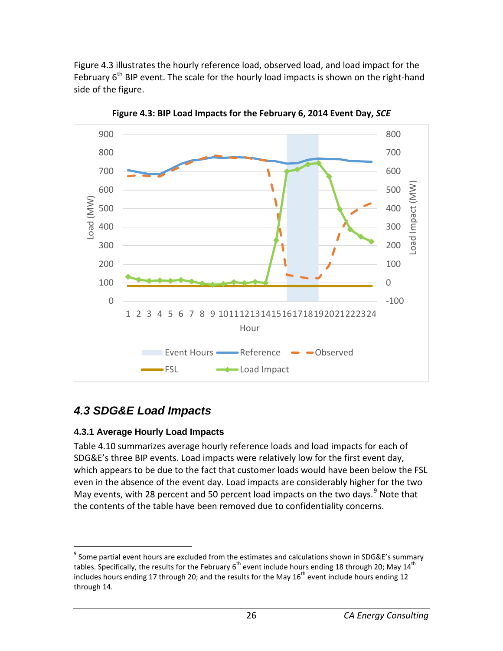Figure 4.3 illustrates the hourly reference load, observed load, and load impact for the February  $6<sup>th</sup>$  BIP event. The scale for the hourly load impacts is shown on the right-hand side of the figure.

<span id="page-31-2"></span>![](_page_31_Figure_1.jpeg)

**Figure 4.3: BIP Load Impacts for the February 6, 2014 Event Day,** *SCE*

# <span id="page-31-0"></span>*4.3 SDG&E Load Impacts*

#### <span id="page-31-1"></span>**4.3.1 Average Hourly Load Impacts**

Table 4.10 summarizes average hourly reference loads and load impacts for each of SDG&E's three BIP events. Load impacts were relatively low for the first event day, which appears to be due to the fact that customer loads would have been below the FSL even in the absence of the event day. Load impacts are considerably higher for the two May events, with 28 percent and 50 percent load impacts on the two days.<sup>[9](#page-31-3)</sup> Note that the contents of the table have been removed due to confidentiality concerns.

<span id="page-31-3"></span> $9$  Some partial event hours are excluded from the estimates and calculations shown in SDG&E's summary tables. Specifically, the results for the February 6<sup>th</sup> event include hours ending 18 through 20; May 14<sup>th</sup> includes hours ending 17 through 20; and the results for the May  $16<sup>th</sup>$  event include hours ending 12 through 14.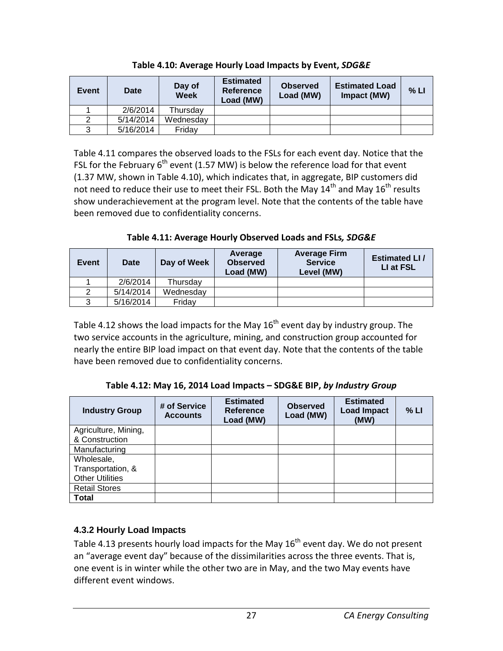<span id="page-32-1"></span>

| <b>Event</b> | Date      | Day of<br><b>Week</b> | <b>Estimated</b><br><b>Reference</b><br>Load (MW) | <b>Observed</b><br>Load (MW) | <b>Estimated Load</b><br>Impact (MW) | % LI |
|--------------|-----------|-----------------------|---------------------------------------------------|------------------------------|--------------------------------------|------|
|              | 2/6/2014  | Thursdav              |                                                   |                              |                                      |      |
|              | 5/14/2014 | Wednesdav             |                                                   |                              |                                      |      |
|              | 5/16/2014 | Fridav                |                                                   |                              |                                      |      |

**Table 4.10: Average Hourly Load Impacts by Event,** *SDG&E*

Table 4.11 compares the observed loads to the FSLs for each event day. Notice that the FSL for the February  $6<sup>th</sup>$  event (1.57 MW) is below the reference load for that event (1.37 MW, shown in Table 4.10), which indicates that, in aggregate, BIP customers did not need to reduce their use to meet their FSL. Both the May  $14<sup>th</sup>$  and May  $16<sup>th</sup>$  results show underachievement at the program level. Note that the contents of the table have been removed due to confidentiality concerns.

**Table 4.11: Average Hourly Observed Loads and FSLs***, SDG&E*

<span id="page-32-2"></span>

| Event | <b>Date</b> | Day of Week | Average<br><b>Observed</b><br>Load (MW) | <b>Average Firm</b><br><b>Service</b><br>Level (MW) | <b>Estimated LI/</b><br>LI at FSL |
|-------|-------------|-------------|-----------------------------------------|-----------------------------------------------------|-----------------------------------|
|       | 2/6/2014    | Thursday    |                                         |                                                     |                                   |
|       | 5/14/2014   | Wednesday   |                                         |                                                     |                                   |
|       | 5/16/2014   | Fridav      |                                         |                                                     |                                   |

Table 4.12 shows the load impacts for the May  $16<sup>th</sup>$  event day by industry group. The two service accounts in the agriculture, mining, and construction group accounted for nearly the entire BIP load impact on that event day. Note that the contents of the table have been removed due to confidentiality concerns.

**Table 4.12: May 16, 2014 Load Impacts – SDG&E BIP,** *by Industry Group*

<span id="page-32-3"></span>

| <b>Industry Group</b>  | # of Service<br><b>Accounts</b> | <b>Estimated</b><br><b>Reference</b><br>Load (MW) | <b>Observed</b><br>Load (MW) | <b>Estimated</b><br><b>Load Impact</b><br>(MW) | % LI |
|------------------------|---------------------------------|---------------------------------------------------|------------------------------|------------------------------------------------|------|
| Agriculture, Mining,   |                                 |                                                   |                              |                                                |      |
| & Construction         |                                 |                                                   |                              |                                                |      |
| Manufacturing          |                                 |                                                   |                              |                                                |      |
| Wholesale,             |                                 |                                                   |                              |                                                |      |
| Transportation, &      |                                 |                                                   |                              |                                                |      |
| <b>Other Utilities</b> |                                 |                                                   |                              |                                                |      |
| <b>Retail Stores</b>   |                                 |                                                   |                              |                                                |      |
| <b>Total</b>           |                                 |                                                   |                              |                                                |      |

#### <span id="page-32-0"></span>**4.3.2 Hourly Load Impacts**

Table 4.13 presents hourly load impacts for the May  $16<sup>th</sup>$  event day. We do not present an "average event day" because of the dissimilarities across the three events. That is, one event is in winter while the other two are in May, and the two May events have different event windows.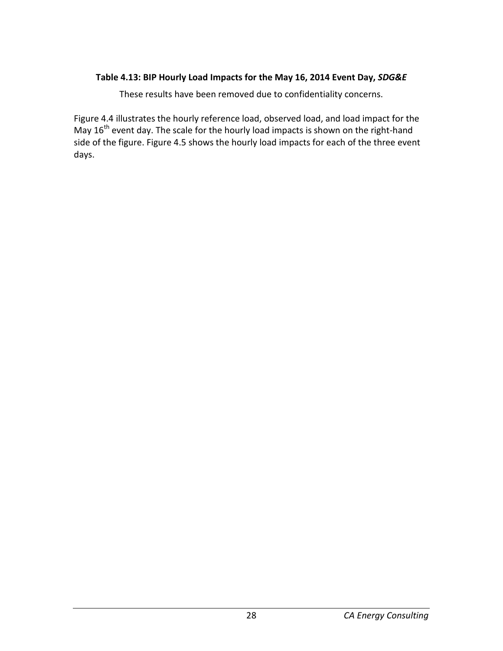#### <span id="page-33-0"></span>**Table 4.13: BIP Hourly Load Impacts for the May 16, 2014 Event Day,** *SDG&E*

These results have been removed due to confidentiality concerns.

Figure 4.4 illustrates the hourly reference load, observed load, and load impact for the May  $16<sup>th</sup>$  event day. The scale for the hourly load impacts is shown on the right-hand side of the figure. Figure 4.5 shows the hourly load impacts for each of the three event days.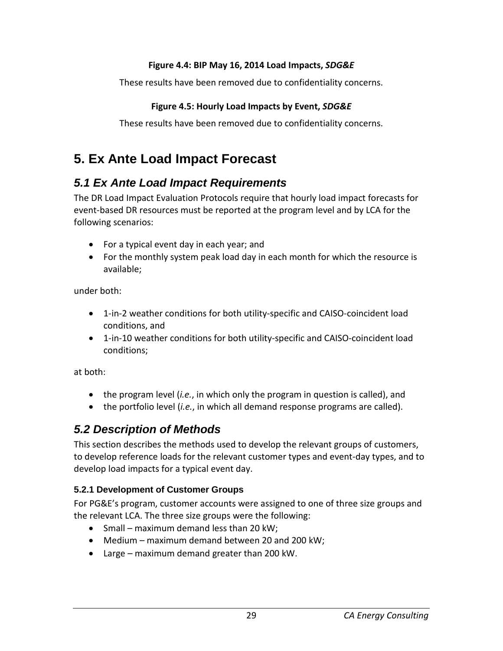#### **Figure 4.4: BIP May 16, 2014 Load Impacts,** *SDG&E*

<span id="page-34-4"></span>These results have been removed due to confidentiality concerns.

#### **Figure 4.5: Hourly Load Impacts by Event,** *SDG&E*

<span id="page-34-5"></span>These results have been removed due to confidentiality concerns.

# <span id="page-34-0"></span>**5. Ex Ante Load Impact Forecast**

### <span id="page-34-1"></span>*5.1 Ex Ante Load Impact Requirements*

The DR Load Impact Evaluation Protocols require that hourly load impact forecasts for event-based DR resources must be reported at the program level and by LCA for the following scenarios:

- For a typical event day in each year; and
- For the monthly system peak load day in each month for which the resource is available;

under both:

- 1-in-2 weather conditions for both utility-specific and CAISO-coincident load conditions, and
- 1-in-10 weather conditions for both utility-specific and CAISO-coincident load conditions;

at both:

- the program level (*i.e.*, in which only the program in question is called), and
- the portfolio level (*i.e.*, in which all demand response programs are called).

### <span id="page-34-2"></span>*5.2 Description of Methods*

This section describes the methods used to develop the relevant groups of customers, to develop reference loads for the relevant customer types and event-day types, and to develop load impacts for a typical event day.

#### <span id="page-34-3"></span>**5.2.1 Development of Customer Groups**

For PG&E's program, customer accounts were assigned to one of three size groups and the relevant LCA. The three size groups were the following:

- Small maximum demand less than 20 kW;
- Medium maximum demand between 20 and 200 kW;
- Large maximum demand greater than 200 kW.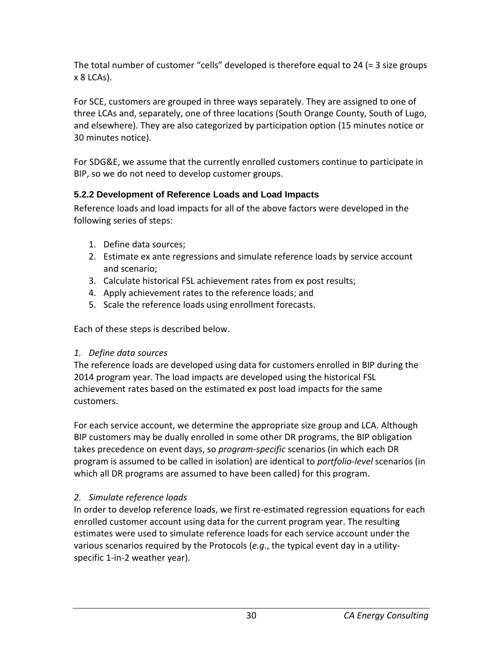The total number of customer "cells" developed is therefore equal to 24 (= 3 size groups x 8 LCAs).

For SCE, customers are grouped in three ways separately. They are assigned to one of three LCAs and, separately, one of three locations (South Orange County, South of Lugo, and elsewhere). They are also categorized by participation option (15 minutes notice or 30 minutes notice).

For SDG&E, we assume that the currently enrolled customers continue to participate in BIP, so we do not need to develop customer groups.

#### <span id="page-35-0"></span>**5.2.2 Development of Reference Loads and Load Impacts**

Reference loads and load impacts for all of the above factors were developed in the following series of steps:

- 1. Define data sources;
- 2. Estimate ex ante regressions and simulate reference loads by service account and scenario;
- 3. Calculate historical FSL achievement rates from ex post results;
- 4. Apply achievement rates to the reference loads; and
- 5. Scale the reference loads using enrollment forecasts.

Each of these steps is described below.

#### *1. Define data sources*

The reference loads are developed using data for customers enrolled in BIP during the 2014 program year. The load impacts are developed using the historical FSL achievement rates based on the estimated ex post load impacts for the same customers.

For each service account, we determine the appropriate size group and LCA. Although BIP customers may be dually enrolled in some other DR programs, the BIP obligation takes precedence on event days, so *program-specific* scenarios (in which each DR program is assumed to be called in isolation) are identical to *portfolio-level* scenarios (in which all DR programs are assumed to have been called) for this program.

#### *2. Simulate reference loads*

In order to develop reference loads, we first re-estimated regression equations for each enrolled customer account using data for the current program year. The resulting estimates were used to simulate reference loads for each service account under the various scenarios required by the Protocols (*e.g.*, the typical event day in a utilityspecific 1-in-2 weather year).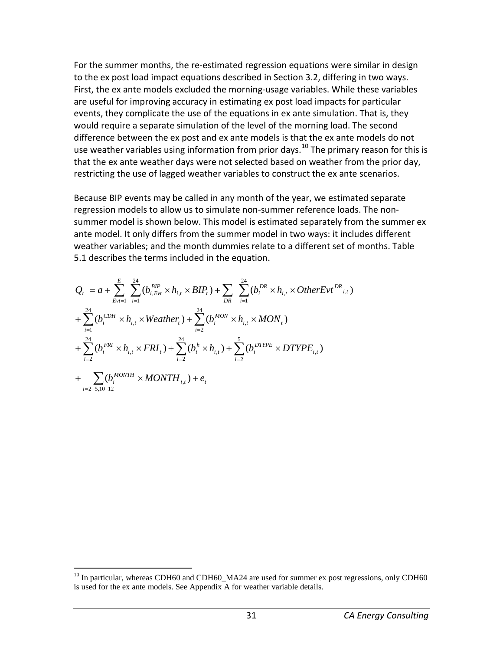For the summer months, the re-estimated regression equations were similar in design to the ex post load impact equations described in Section 3.2, differing in two ways. First, the ex ante models excluded the morning-usage variables. While these variables are useful for improving accuracy in estimating ex post load impacts for particular events, they complicate the use of the equations in ex ante simulation. That is, they would require a separate simulation of the level of the morning load. The second difference between the ex post and ex ante models is that the ex ante models do not use weather variables using information from prior days.<sup>[10](#page-36-0)</sup> The primary reason for this is that the ex ante weather days were not selected based on weather from the prior day, restricting the use of lagged weather variables to construct the ex ante scenarios.

Because BIP events may be called in any month of the year, we estimated separate regression models to allow us to simulate non-summer reference loads. The nonsummer model is shown below. This model is estimated separately from the summer ex ante model. It only differs from the summer model in two ways: it includes different weather variables; and the month dummies relate to a different set of months. Table 5.1 describes the terms included in the equation.

$$
Q_{t} = a + \sum_{Evt=1}^{E} \sum_{i=1}^{24} (b_{i, Evt}^{BIP} \times h_{i,t} \times BIP_{t}) + \sum_{DR} \sum_{i=1}^{24} (b_{i}^{DR} \times h_{i,t} \times OtherEvt^{DR}_{i,t})
$$
  
+ 
$$
\sum_{i=1}^{24} (b_{i}^{CDH} \times h_{i,t} \times Weather_{t}) + \sum_{i=2}^{24} (b_{i}^{MON} \times h_{i,t} \times MON_{t})
$$
  
+ 
$$
\sum_{i=2}^{24} (b_{i}^{FRI} \times h_{i,t} \times FRI_{t}) + \sum_{i=2}^{24} (b_{i}^{h} \times h_{i,t}) + \sum_{i=2}^{5} (b_{i}^{DTYPE} \times DTYPE_{i,t})
$$
  
+ 
$$
\sum_{i=2-5,10-12} (b_{i}^{MONTH} \times MONTH_{i,t}) + e_{t}
$$

<span id="page-36-0"></span> $^{10}$  In particular, whereas CDH60 and CDH60 MA24 are used for summer ex post regressions, only CDH60 is used for the ex ante models. See Appendix A for weather variable details.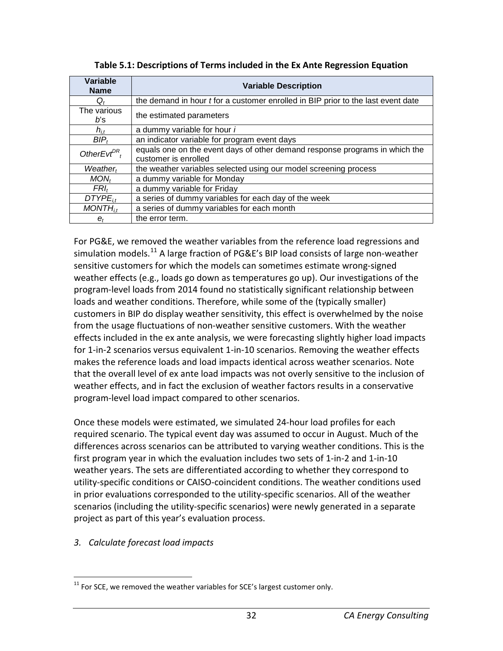| Variable<br><b>Name</b> | <b>Variable Description</b>                                                             |
|-------------------------|-----------------------------------------------------------------------------------------|
| Q,                      | the demand in hour <i>t</i> for a customer enrolled in BIP prior to the last event date |
| The various<br>b's      | the estimated parameters                                                                |
| $h_{i,t}$               | a dummy variable for hour i                                                             |
| $BIP_t$                 | an indicator variable for program event days                                            |
| OtherEvt $^{DR}$ ,      | equals one on the event days of other demand response programs in which the             |
|                         | customer is enrolled                                                                    |
| Weather <sub>t</sub>    | the weather variables selected using our model screening process                        |
| MON <sub>t</sub>        | a dummy variable for Monday                                                             |
| $FRI_t$                 | a dummy variable for Friday                                                             |
| $DTYPE_{it}$            | a series of dummy variables for each day of the week                                    |
| $MONTH_{i,t}$           | a series of dummy variables for each month                                              |
| $e_t$                   | the error term.                                                                         |

|  | Table 5.1: Descriptions of Terms included in the Ex Ante Regression Equation |
|--|------------------------------------------------------------------------------|
|--|------------------------------------------------------------------------------|

For PG&E, we removed the weather variables from the reference load regressions and simulation models.<sup>[11](#page-37-0)</sup> A large fraction of PG&E's BIP load consists of large non-weather sensitive customers for which the models can sometimes estimate wrong-signed weather effects (e.g., loads go down as temperatures go up). Our investigations of the program-level loads from 2014 found no statistically significant relationship between loads and weather conditions. Therefore, while some of the (typically smaller) customers in BIP do display weather sensitivity, this effect is overwhelmed by the noise from the usage fluctuations of non-weather sensitive customers. With the weather effects included in the ex ante analysis, we were forecasting slightly higher load impacts for 1-in-2 scenarios versus equivalent 1-in-10 scenarios. Removing the weather effects makes the reference loads and load impacts identical across weather scenarios. Note that the overall level of ex ante load impacts was not overly sensitive to the inclusion of weather effects, and in fact the exclusion of weather factors results in a conservative program-level load impact compared to other scenarios.

Once these models were estimated, we simulated 24-hour load profiles for each required scenario. The typical event day was assumed to occur in August. Much of the differences across scenarios can be attributed to varying weather conditions. This is the first program year in which the evaluation includes two sets of 1-in-2 and 1-in-10 weather years. The sets are differentiated according to whether they correspond to utility-specific conditions or CAISO-coincident conditions. The weather conditions used in prior evaluations corresponded to the utility-specific scenarios. All of the weather scenarios (including the utility-specific scenarios) were newly generated in a separate project as part of this year's evaluation process.

#### *3. Calculate forecast load impacts*

<span id="page-37-0"></span> $11$  For SCE, we removed the weather variables for SCE's largest customer only.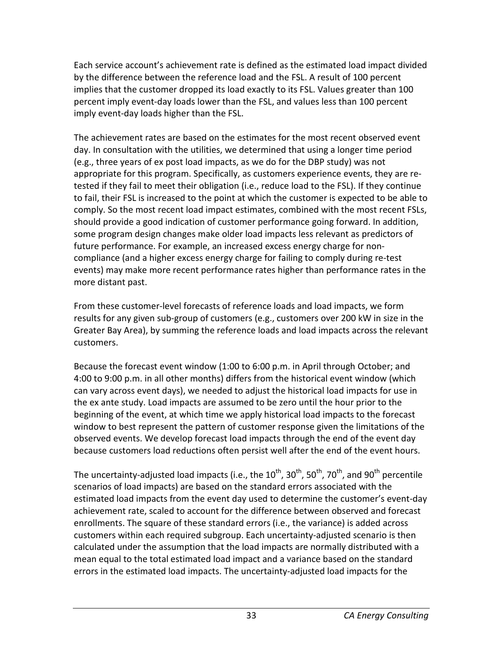Each service account's achievement rate is defined as the estimated load impact divided by the difference between the reference load and the FSL. A result of 100 percent implies that the customer dropped its load exactly to its FSL. Values greater than 100 percent imply event-day loads lower than the FSL, and values less than 100 percent imply event-day loads higher than the FSL.

The achievement rates are based on the estimates for the most recent observed event day. In consultation with the utilities, we determined that using a longer time period (e.g., three years of ex post load impacts, as we do for the DBP study) was not appropriate for this program. Specifically, as customers experience events, they are retested if they fail to meet their obligation (i.e., reduce load to the FSL). If they continue to fail, their FSL is increased to the point at which the customer is expected to be able to comply. So the most recent load impact estimates, combined with the most recent FSLs, should provide a good indication of customer performance going forward. In addition, some program design changes make older load impacts less relevant as predictors of future performance. For example, an increased excess energy charge for noncompliance (and a higher excess energy charge for failing to comply during re-test events) may make more recent performance rates higher than performance rates in the more distant past.

From these customer-level forecasts of reference loads and load impacts, we form results for any given sub-group of customers (e.g., customers over 200 kW in size in the Greater Bay Area), by summing the reference loads and load impacts across the relevant customers.

Because the forecast event window (1:00 to 6:00 p.m. in April through October; and 4:00 to 9:00 p.m. in all other months) differs from the historical event window (which can vary across event days), we needed to adjust the historical load impacts for use in the ex ante study. Load impacts are assumed to be zero until the hour prior to the beginning of the event, at which time we apply historical load impacts to the forecast window to best represent the pattern of customer response given the limitations of the observed events. We develop forecast load impacts through the end of the event day because customers load reductions often persist well after the end of the event hours.

The uncertainty-adjusted load impacts (i.e., the  $10^{th}$ ,  $30^{th}$ ,  $50^{th}$ ,  $70^{th}$ , and  $90^{th}$  percentile scenarios of load impacts) are based on the standard errors associated with the estimated load impacts from the event day used to determine the customer's event-day achievement rate, scaled to account for the difference between observed and forecast enrollments. The square of these standard errors (i.e., the variance) is added across customers within each required subgroup. Each uncertainty-adjusted scenario is then calculated under the assumption that the load impacts are normally distributed with a mean equal to the total estimated load impact and a variance based on the standard errors in the estimated load impacts. The uncertainty-adjusted load impacts for the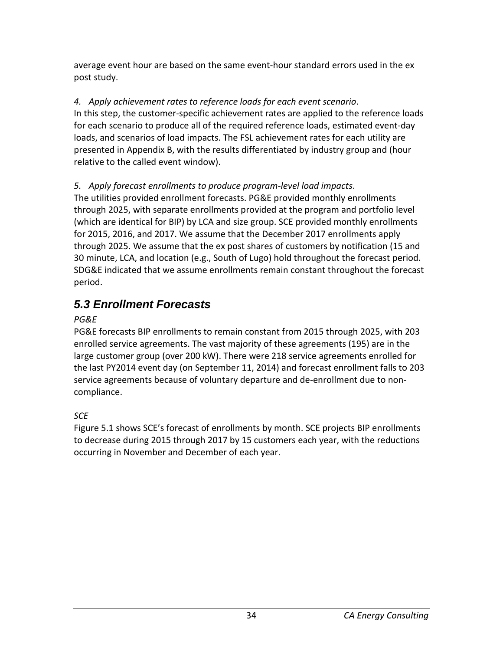average event hour are based on the same event-hour standard errors used in the ex post study.

#### *4. Apply achievement rates to reference loads for each event scenario*.

In this step, the customer-specific achievement rates are applied to the reference loads for each scenario to produce all of the required reference loads, estimated event-day loads, and scenarios of load impacts. The FSL achievement rates for each utility are presented in Appendix B, with the results differentiated by industry group and (hour relative to the called event window).

#### *5. Apply forecast enrollments to produce program-level load impacts*.

The utilities provided enrollment forecasts. PG&E provided monthly enrollments through 2025, with separate enrollments provided at the program and portfolio level (which are identical for BIP) by LCA and size group. SCE provided monthly enrollments for 2015, 2016, and 2017. We assume that the December 2017 enrollments apply through 2025. We assume that the ex post shares of customers by notification (15 and 30 minute, LCA, and location (e.g., South of Lugo) hold throughout the forecast period. SDG&E indicated that we assume enrollments remain constant throughout the forecast period.

# *5.3 Enrollment Forecasts*

#### *PG&E*

PG&E forecasts BIP enrollments to remain constant from 2015 through 2025, with 203 enrolled service agreements. The vast majority of these agreements (195) are in the large customer group (over 200 kW). There were 218 service agreements enrolled for the last PY2014 event day (on September 11, 2014) and forecast enrollment falls to 203 service agreements because of voluntary departure and de-enrollment due to noncompliance.

## *SCE*

Figure 5.1 shows SCE's forecast of enrollments by month. SCE projects BIP enrollments to decrease during 2015 through 2017 by 15 customers each year, with the reductions occurring in November and December of each year.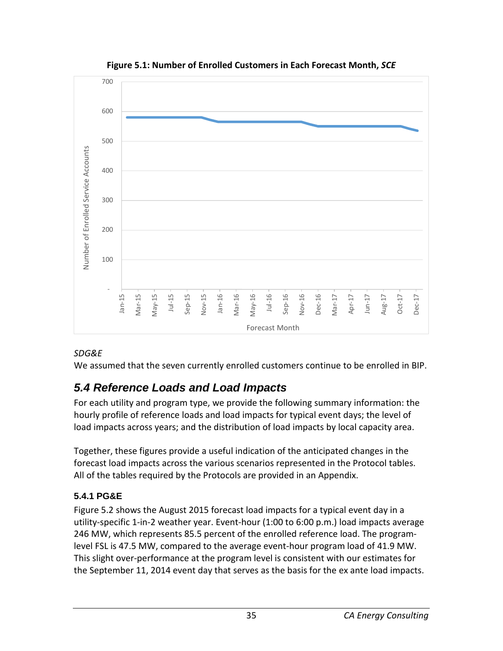

**Figure 5.1: Number of Enrolled Customers in Each Forecast Month,** *SCE*

#### *SDG&E*

We assumed that the seven currently enrolled customers continue to be enrolled in BIP.

# *5.4 Reference Loads and Load Impacts*

For each utility and program type, we provide the following summary information: the hourly profile of reference loads and load impacts for typical event days; the level of load impacts across years; and the distribution of load impacts by local capacity area.

Together, these figures provide a useful indication of the anticipated changes in the forecast load impacts across the various scenarios represented in the Protocol tables. All of the tables required by the Protocols are provided in an Appendix.

## **5.4.1 PG&E**

Figure 5.2 shows the August 2015 forecast load impacts for a typical event day in a utility-specific 1-in-2 weather year. Event-hour (1:00 to 6:00 p.m.) load impacts average 246 MW, which represents 85.5 percent of the enrolled reference load. The programlevel FSL is 47.5 MW, compared to the average event-hour program load of 41.9 MW. This slight over-performance at the program level is consistent with our estimates for the September 11, 2014 event day that serves as the basis for the ex ante load impacts.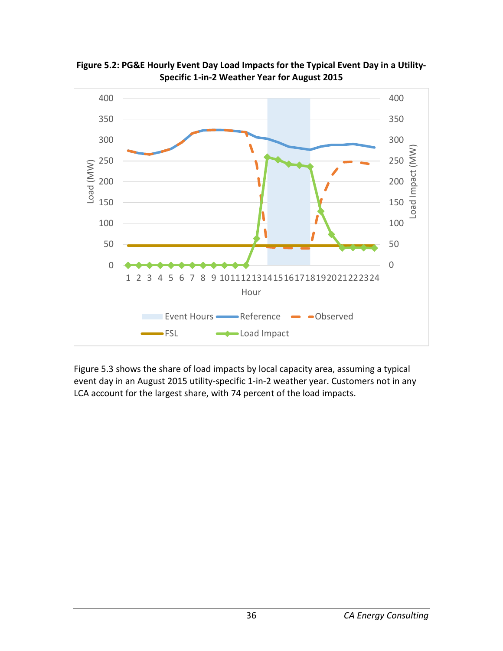

**Figure 5.2: PG&E Hourly Event Day Load Impacts for the Typical Event Day in a Utility-Specific 1-in-2 Weather Year for August 2015**

Figure 5.3 shows the share of load impacts by local capacity area, assuming a typical event day in an August 2015 utility-specific 1-in-2 weather year. Customers not in any LCA account for the largest share, with 74 percent of the load impacts.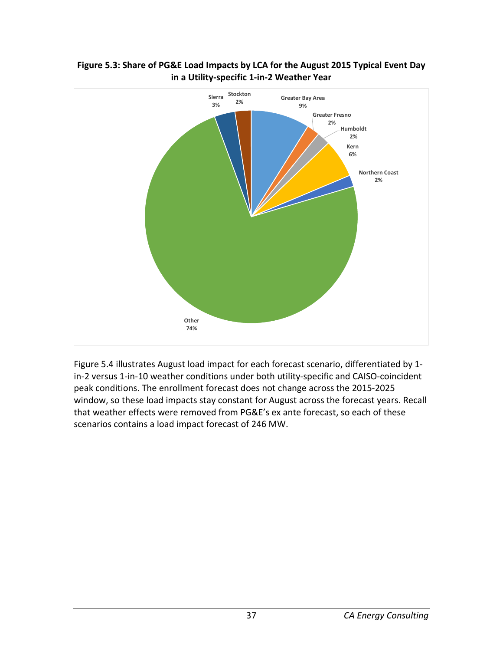

#### **Figure 5.3: Share of PG&E Load Impacts by LCA for the August 2015 Typical Event Day in a Utility-specific 1-in-2 Weather Year**

Figure 5.4 illustrates August load impact for each forecast scenario, differentiated by 1 in-2 versus 1-in-10 weather conditions under both utility-specific and CAISO-coincident peak conditions. The enrollment forecast does not change across the 2015-2025 window, so these load impacts stay constant for August across the forecast years. Recall that weather effects were removed from PG&E's ex ante forecast, so each of these scenarios contains a load impact forecast of 246 MW.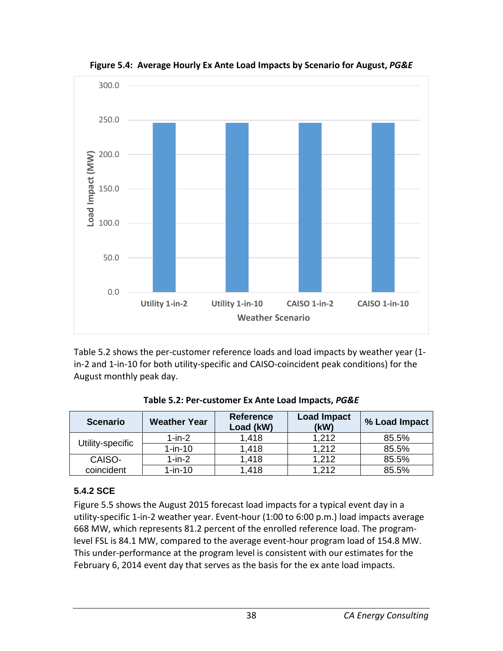

**Figure 5.4: Average Hourly Ex Ante Load Impacts by Scenario for August,** *PG&E*

Table 5.2 shows the per-customer reference loads and load impacts by weather year (1 in-2 and 1-in-10 for both utility-specific and CAISO-coincident peak conditions) for the August monthly peak day.

| <b>Scenario</b>  | <b>Weather Year</b> | <b>Reference</b><br>Load (kW) | <b>Load Impact</b><br>(kW) | % Load Impact |
|------------------|---------------------|-------------------------------|----------------------------|---------------|
| Utility-specific | $1$ -in- $2$        | 1,418                         | 1,212                      | 85.5%         |
|                  | $1-in-10$           | 1,418                         | 1.212                      | 85.5%         |
| CAISO-           | $1-in-2$            | 1.418                         | 1.212                      | 85.5%         |
| coincident       | $1-in-10$           | 1,418                         | 1.212                      | 85.5%         |

**Table 5.2: Per-customer Ex Ante Load Impacts,** *PG&E*

#### **5.4.2 SCE**

Figure 5.5 shows the August 2015 forecast load impacts for a typical event day in a utility-specific 1-in-2 weather year. Event-hour (1:00 to 6:00 p.m.) load impacts average 668 MW, which represents 81.2 percent of the enrolled reference load. The programlevel FSL is 84.1 MW, compared to the average event-hour program load of 154.8 MW. This under-performance at the program level is consistent with our estimates for the February 6, 2014 event day that serves as the basis for the ex ante load impacts.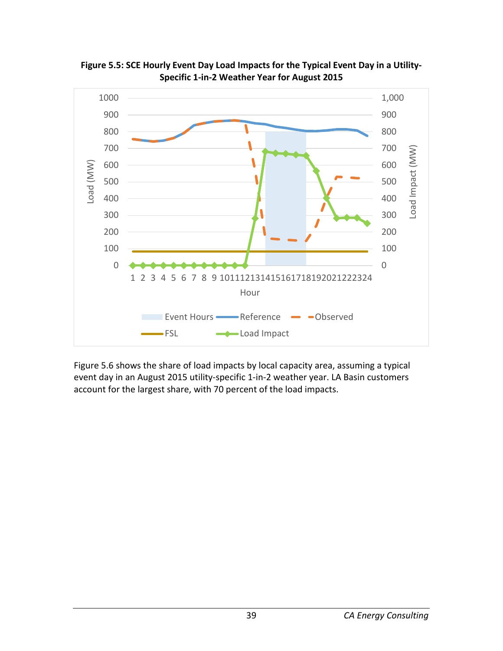

**Figure 5.5: SCE Hourly Event Day Load Impacts for the Typical Event Day in a Utility-Specific 1-in-2 Weather Year for August 2015**

Figure 5.6 shows the share of load impacts by local capacity area, assuming a typical event day in an August 2015 utility-specific 1-in-2 weather year. LA Basin customers account for the largest share, with 70 percent of the load impacts.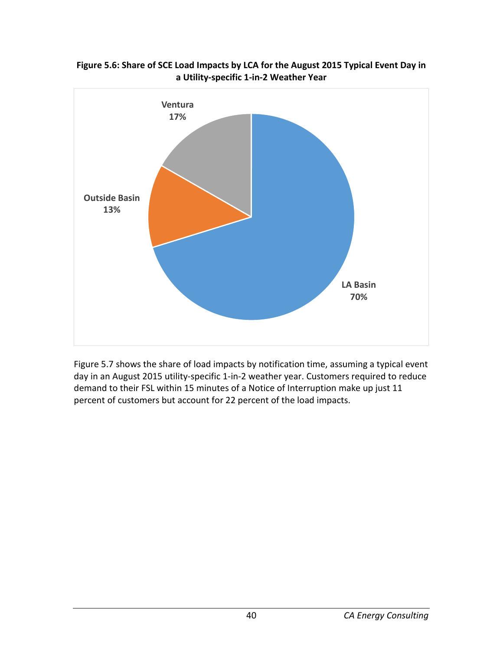

**Figure 5.6: Share of SCE Load Impacts by LCA for the August 2015 Typical Event Day in a Utility-specific 1-in-2 Weather Year**

Figure 5.7 shows the share of load impacts by notification time, assuming a typical event day in an August 2015 utility-specific 1-in-2 weather year. Customers required to reduce demand to their FSL within 15 minutes of a Notice of Interruption make up just 11 percent of customers but account for 22 percent of the load impacts.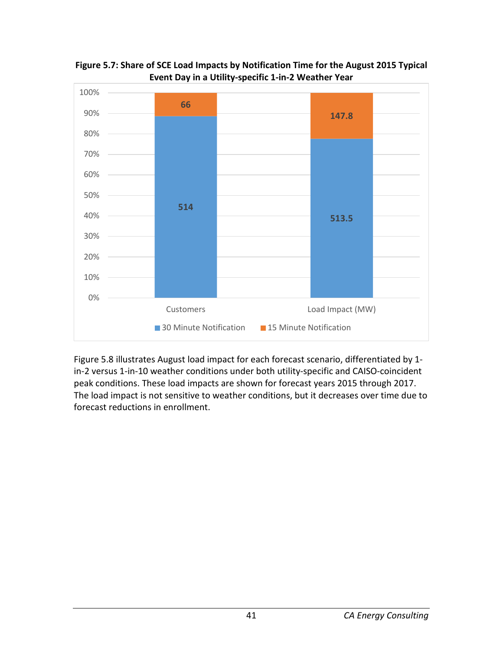

**Figure 5.7: Share of SCE Load Impacts by Notification Time for the August 2015 Typical Event Day in a Utility-specific 1-in-2 Weather Year**

Figure 5.8 illustrates August load impact for each forecast scenario, differentiated by 1 in-2 versus 1-in-10 weather conditions under both utility-specific and CAISO-coincident peak conditions. These load impacts are shown for forecast years 2015 through 2017. The load impact is not sensitive to weather conditions, but it decreases over time due to forecast reductions in enrollment.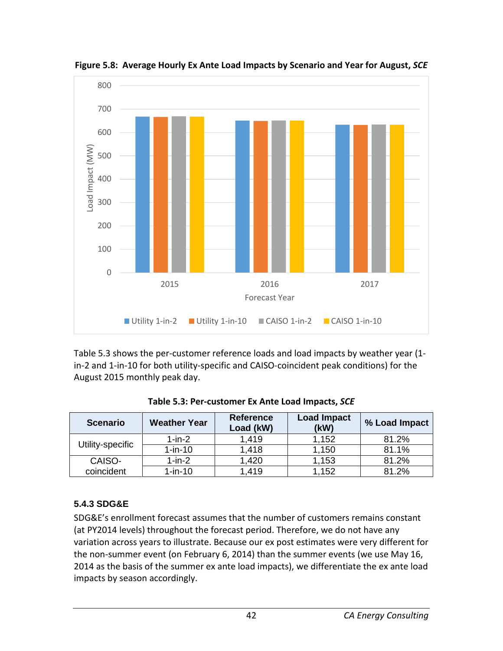

**Figure 5.8: Average Hourly Ex Ante Load Impacts by Scenario and Year for August,** *SCE*

Table 5.3 shows the per-customer reference loads and load impacts by weather year (1 in-2 and 1-in-10 for both utility-specific and CAISO-coincident peak conditions) for the August 2015 monthly peak day.

| <b>Scenario</b>  | <b>Weather Year</b> | <b>Reference</b><br>Load (kW) | <b>Load Impact</b><br>(kW) | % Load Impact |
|------------------|---------------------|-------------------------------|----------------------------|---------------|
| Utility-specific | $1$ -in- $2$        | 1.419                         | 1,152                      | 81.2%         |
|                  | $1-in-10$           | 1.418                         | 1,150                      | 81.1%         |
| CAISO-           | $1-in-2$            | 1,420                         | 1,153                      | 81.2%         |
| coincident       | $1-in-10$           | 1.419                         | 1,152                      | 81.2%         |

| Table 5.3: Per-customer Ex Ante Load Impacts, SCE |  |
|---------------------------------------------------|--|
|                                                   |  |

## **5.4.3 SDG&E**

SDG&E's enrollment forecast assumes that the number of customers remains constant (at PY2014 levels) throughout the forecast period. Therefore, we do not have any variation across years to illustrate. Because our ex post estimates were very different for the non-summer event (on February 6, 2014) than the summer events (we use May 16, 2014 as the basis of the summer ex ante load impacts), we differentiate the ex ante load impacts by season accordingly.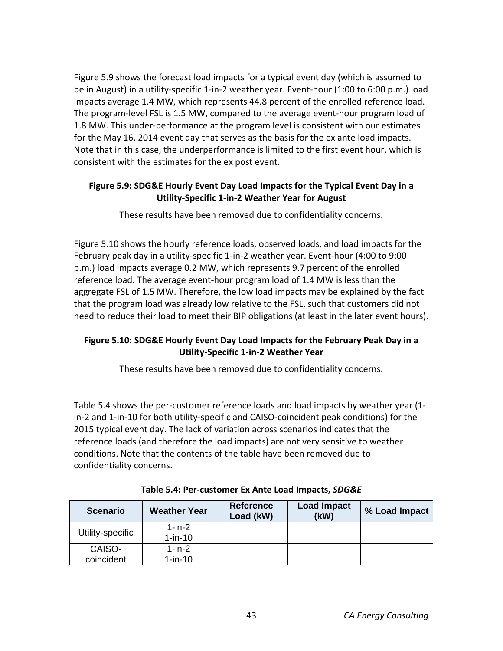Figure 5.9 shows the forecast load impacts for a typical event day (which is assumed to be in August) in a utility-specific 1-in-2 weather year. Event-hour (1:00 to 6:00 p.m.) load impacts average 1.4 MW, which represents 44.8 percent of the enrolled reference load. The program-level FSL is 1.5 MW, compared to the average event-hour program load of 1.8 MW. This under-performance at the program level is consistent with our estimates for the May 16, 2014 event day that serves as the basis for the ex ante load impacts. Note that in this case, the underperformance is limited to the first event hour, which is consistent with the estimates for the ex post event.

#### **Figure 5.9: SDG&E Hourly Event Day Load Impacts for the Typical Event Day in a Utility-Specific 1-in-2 Weather Year for August**

These results have been removed due to confidentiality concerns.

Figure 5.10 shows the hourly reference loads, observed loads, and load impacts for the February peak day in a utility-specific 1-in-2 weather year. Event-hour (4:00 to 9:00 p.m.) load impacts average 0.2 MW, which represents 9.7 percent of the enrolled reference load. The average event-hour program load of 1.4 MW is less than the aggregate FSL of 1.5 MW. Therefore, the low load impacts may be explained by the fact that the program load was already low relative to the FSL, such that customers did not need to reduce their load to meet their BIP obligations (at least in the later event hours).

#### **Figure 5.10: SDG&E Hourly Event Day Load Impacts for the February Peak Day in a Utility-Specific 1-in-2 Weather Year**

These results have been removed due to confidentiality concerns.

Table 5.4 shows the per-customer reference loads and load impacts by weather year (1 in-2 and 1-in-10 for both utility-specific and CAISO-coincident peak conditions) for the 2015 typical event day. The lack of variation across scenarios indicates that the reference loads (and therefore the load impacts) are not very sensitive to weather conditions. Note that the contents of the table have been removed due to confidentiality concerns.

| <b>Scenario</b>  | <b>Weather Year</b> | <b>Reference</b><br>Load (kW) | <b>Load Impact</b><br>(kW) | % Load Impact |
|------------------|---------------------|-------------------------------|----------------------------|---------------|
| Utility-specific | $1-in-2$            |                               |                            |               |
|                  | $1-in-10$           |                               |                            |               |
| CAISO-           | $1-in-2$            |                               |                            |               |
| coincident       | $1-in-10$           |                               |                            |               |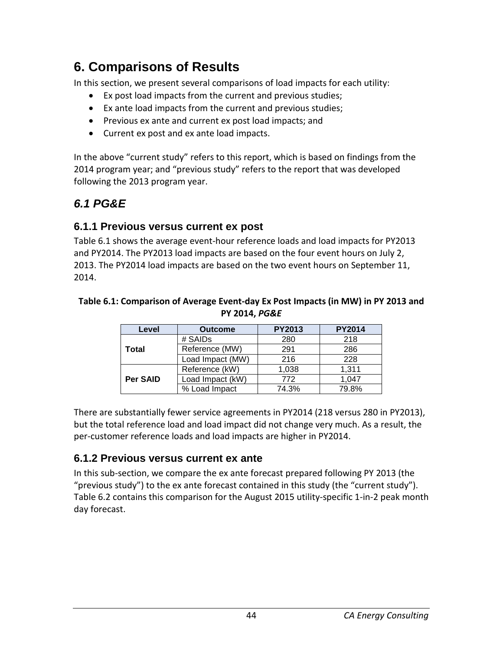# **6. Comparisons of Results**

In this section, we present several comparisons of load impacts for each utility:

- Ex post load impacts from the current and previous studies;
- Ex ante load impacts from the current and previous studies;
- Previous ex ante and current ex post load impacts; and
- Current ex post and ex ante load impacts.

In the above "current study" refers to this report, which is based on findings from the 2014 program year; and "previous study" refers to the report that was developed following the 2013 program year.

# *6.1 PG&E*

#### **6.1.1 Previous versus current ex post**

Table 6.1 shows the average event-hour reference loads and load impacts for PY2013 and PY2014. The PY2013 load impacts are based on the four event hours on July 2, 2013. The PY2014 load impacts are based on the two event hours on September 11, 2014.

#### **Table 6.1: Comparison of Average Event-day Ex Post Impacts (in MW) in PY 2013 and PY 2014,** *PG&E*

| Level    | <b>Outcome</b>   | <b>PY2013</b> | <b>PY2014</b> |
|----------|------------------|---------------|---------------|
|          | # SAIDs          | 280           | 218           |
| Total    | Reference (MW)   | 291           | 286           |
|          | Load Impact (MW) | 216           | 228           |
|          | Reference (kW)   | 1,038         | 1,311         |
| Per SAID | Load Impact (kW) | 772           | 1,047         |
|          | % Load Impact    | 74.3%         | 79.8%         |

There are substantially fewer service agreements in PY2014 (218 versus 280 in PY2013), but the total reference load and load impact did not change very much. As a result, the per-customer reference loads and load impacts are higher in PY2014.

## **6.1.2 Previous versus current ex ante**

In this sub-section, we compare the ex ante forecast prepared following PY 2013 (the "previous study") to the ex ante forecast contained in this study (the "current study"). Table 6.2 contains this comparison for the August 2015 utility-specific 1-in-2 peak month day forecast.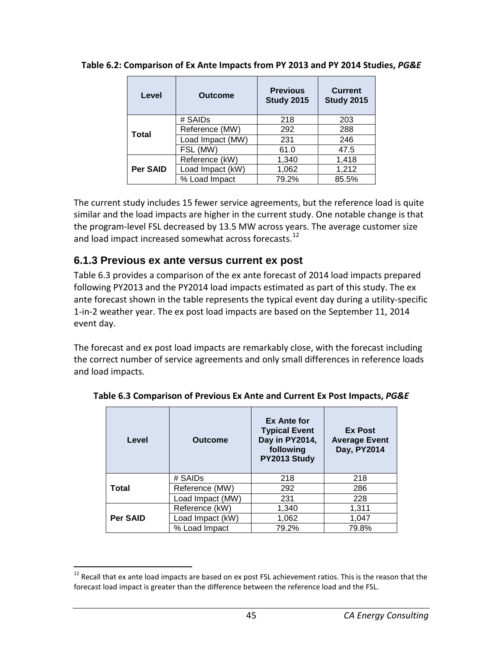| Level    | <b>Outcome</b>   | <b>Previous</b><br><b>Study 2015</b> | <b>Current</b><br><b>Study 2015</b> |
|----------|------------------|--------------------------------------|-------------------------------------|
|          | # SAIDs          | 218                                  | 203                                 |
| Total    | Reference (MW)   | 292                                  | 288                                 |
|          | Load Impact (MW) | 231                                  | 246                                 |
|          | FSL (MW)         | 61.0                                 | 47.5                                |
|          | Reference (kW)   | 1,340                                | 1,418                               |
| Per SAID | Load Impact (kW) | 1,062                                | 1,212                               |
|          | % Load Impact    | 79.2%                                | 85.5%                               |

**Table 6.2: Comparison of Ex Ante Impacts from PY 2013 and PY 2014 Studies,** *PG&E*

The current study includes 15 fewer service agreements, but the reference load is quite similar and the load impacts are higher in the current study. One notable change is that the program-level FSL decreased by 13.5 MW across years. The average customer size and load impact increased somewhat across forecasts.<sup>[12](#page-50-0)</sup>

#### **6.1.3 Previous ex ante versus current ex post**

Table 6.3 provides a comparison of the ex ante forecast of 2014 load impacts prepared following PY2013 and the PY2014 load impacts estimated as part of this study. The ex ante forecast shown in the table represents the typical event day during a utility-specific 1-in-2 weather year. The ex post load impacts are based on the September 11, 2014 event day.

The forecast and ex post load impacts are remarkably close, with the forecast including the correct number of service agreements and only small differences in reference loads and load impacts.

| Level           | Outcome          | Ex Ante for<br><b>Typical Event</b><br>Day in PY2014,<br>following<br>PY2013 Study | <b>Ex Post</b><br><b>Average Event</b><br>Day, PY2014 |
|-----------------|------------------|------------------------------------------------------------------------------------|-------------------------------------------------------|
|                 | # SAIDs          | 218                                                                                | 218                                                   |
| Total           | Reference (MW)   | 292                                                                                | 286                                                   |
|                 | Load Impact (MW) | 231                                                                                | 228                                                   |
|                 | Reference (kW)   | 1,340                                                                              | 1,311                                                 |
| <b>Per SAID</b> | Load Impact (kW) | 1,062                                                                              | 1,047                                                 |
|                 | % Load Impact    | 79.2%                                                                              | 79.8%                                                 |

**Table 6.3 Comparison of Previous Ex Ante and Current Ex Post Impacts,** *PG&E*

<span id="page-50-0"></span> $12$  Recall that ex ante load impacts are based on ex post FSL achievement ratios. This is the reason that the forecast load impact is greater than the difference between the reference load and the FSL.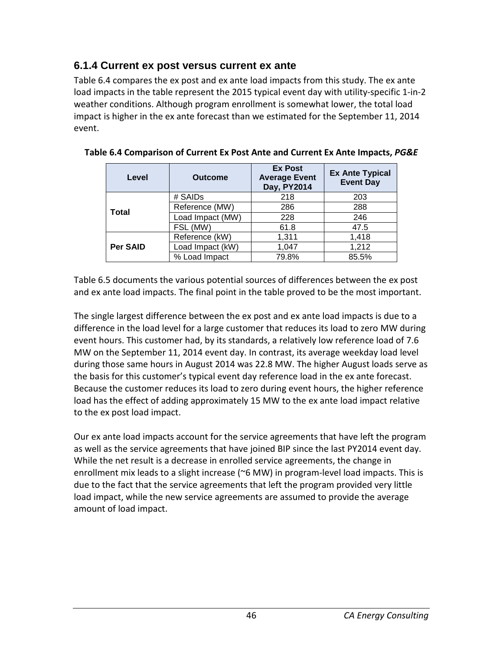## **6.1.4 Current ex post versus current ex ante**

Table 6.4 compares the ex post and ex ante load impacts from this study. The ex ante load impacts in the table represent the 2015 typical event day with utility-specific 1-in-2 weather conditions. Although program enrollment is somewhat lower, the total load impact is higher in the ex ante forecast than we estimated for the September 11, 2014 event.

| Level           | <b>Outcome</b>   | <b>Ex Post</b><br><b>Average Event</b><br>Day, PY2014 | <b>Ex Ante Typical</b><br><b>Event Day</b> |
|-----------------|------------------|-------------------------------------------------------|--------------------------------------------|
|                 | # SAIDs          | 218                                                   | 203                                        |
| <b>Total</b>    | Reference (MW)   | 286                                                   | 288                                        |
|                 | Load Impact (MW) | 228                                                   | 246                                        |
|                 | FSL (MW)         | 61.8                                                  | 47.5                                       |
|                 | Reference (kW)   | 1,311                                                 | 1,418                                      |
| <b>Per SAID</b> | Load Impact (kW) | 1,047                                                 | 1,212                                      |
|                 | % Load Impact    | 79.8%                                                 | 85.5%                                      |

**Table 6.4 Comparison of Current Ex Post Ante and Current Ex Ante Impacts,** *PG&E*

Table 6.5 documents the various potential sources of differences between the ex post and ex ante load impacts. The final point in the table proved to be the most important.

The single largest difference between the ex post and ex ante load impacts is due to a difference in the load level for a large customer that reduces its load to zero MW during event hours. This customer had, by its standards, a relatively low reference load of 7.6 MW on the September 11, 2014 event day. In contrast, its average weekday load level during those same hours in August 2014 was 22.8 MW. The higher August loads serve as the basis for this customer's typical event day reference load in the ex ante forecast. Because the customer reduces its load to zero during event hours, the higher reference load has the effect of adding approximately 15 MW to the ex ante load impact relative to the ex post load impact.

Our ex ante load impacts account for the service agreements that have left the program as well as the service agreements that have joined BIP since the last PY2014 event day. While the net result is a decrease in enrolled service agreements, the change in enrollment mix leads to a slight increase (~6 MW) in program-level load impacts. This is due to the fact that the service agreements that left the program provided very little load impact, while the new service agreements are assumed to provide the average amount of load impact.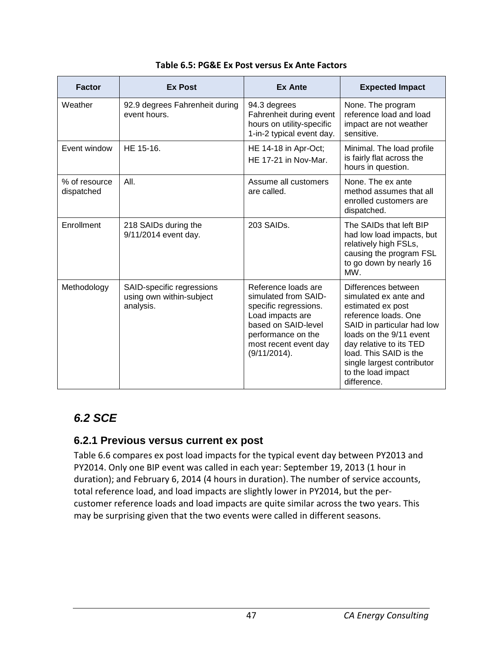| <b>Factor</b>               | <b>Ex Post</b>                                                     | <b>Ex Ante</b>                                                                                                                                                                 | <b>Expected Impact</b>                                                                                                                                                                                                                                                     |
|-----------------------------|--------------------------------------------------------------------|--------------------------------------------------------------------------------------------------------------------------------------------------------------------------------|----------------------------------------------------------------------------------------------------------------------------------------------------------------------------------------------------------------------------------------------------------------------------|
| Weather                     | 92.9 degrees Fahrenheit during<br>event hours.                     | 94.3 degrees<br>Fahrenheit during event<br>hours on utility-specific<br>1-in-2 typical event day.                                                                              | None. The program<br>reference load and load<br>impact are not weather<br>sensitive.                                                                                                                                                                                       |
| Event window                | HE 15-16.                                                          | HE 14-18 in Apr-Oct;<br>HE 17-21 in Nov-Mar.                                                                                                                                   | Minimal. The load profile<br>is fairly flat across the<br>hours in question.                                                                                                                                                                                               |
| % of resource<br>dispatched | AII.                                                               | Assume all customers<br>are called.                                                                                                                                            | None. The ex ante<br>method assumes that all<br>enrolled customers are<br>dispatched.                                                                                                                                                                                      |
| Enrollment                  | 218 SAIDs during the<br>9/11/2014 event day.                       | 203 SAIDs.                                                                                                                                                                     | The SAIDs that left BIP<br>had low load impacts, but<br>relatively high FSLs,<br>causing the program FSL<br>to go down by nearly 16<br>MW.                                                                                                                                 |
| Methodology                 | SAID-specific regressions<br>using own within-subject<br>analysis. | Reference loads are<br>simulated from SAID-<br>specific regressions.<br>Load impacts are<br>based on SAID-level<br>performance on the<br>most recent event day<br>(9/11/2014). | Differences between<br>simulated ex ante and<br>estimated ex post<br>reference loads. One<br>SAID in particular had low<br>loads on the 9/11 event<br>day relative to its TED<br>load. This SAID is the<br>single largest contributor<br>to the load impact<br>difference. |

## *6.2 SCE*

#### **6.2.1 Previous versus current ex post**

Table 6.6 compares ex post load impacts for the typical event day between PY2013 and PY2014. Only one BIP event was called in each year: September 19, 2013 (1 hour in duration); and February 6, 2014 (4 hours in duration). The number of service accounts, total reference load, and load impacts are slightly lower in PY2014, but the percustomer reference loads and load impacts are quite similar across the two years. This may be surprising given that the two events were called in different seasons.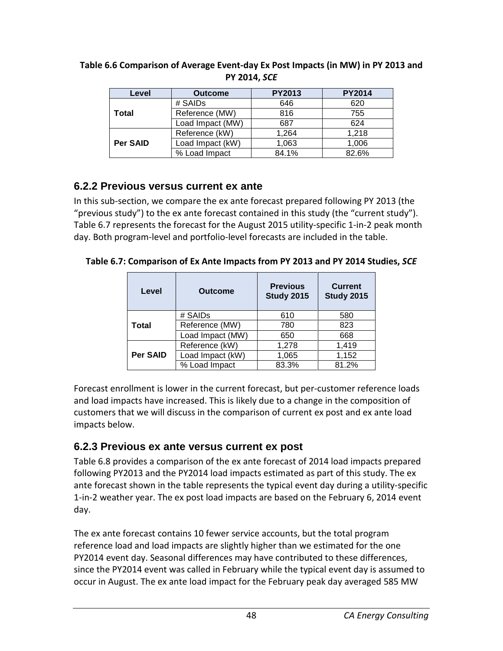| Level    | <b>Outcome</b>   | <b>PY2013</b> | <b>PY2014</b> |
|----------|------------------|---------------|---------------|
|          | # SAIDs          | 646           | 620           |
| Total    | Reference (MW)   | 816           | 755           |
|          | Load Impact (MW) | 687           | 624           |
|          | Reference (kW)   | 1,264         | 1,218         |
| Per SAID | Load Impact (kW) | 1,063         | 1,006         |
|          | % Load Impact    | 84.1%         | 82.6%         |

#### **Table 6.6 Comparison of Average Event-day Ex Post Impacts (in MW) in PY 2013 and PY 2014,** *SCE*

### **6.2.2 Previous versus current ex ante**

In this sub-section, we compare the ex ante forecast prepared following PY 2013 (the "previous study") to the ex ante forecast contained in this study (the "current study"). Table 6.7 represents the forecast for the August 2015 utility-specific 1-in-2 peak month day. Both program-level and portfolio-level forecasts are included in the table.

**Table 6.7: Comparison of Ex Ante Impacts from PY 2013 and PY 2014 Studies,** *SCE*

| Level           | <b>Outcome</b>   | <b>Previous</b><br><b>Study 2015</b> | <b>Current</b><br><b>Study 2015</b> |
|-----------------|------------------|--------------------------------------|-------------------------------------|
|                 | # SAIDs          | 610                                  | 580                                 |
| <b>Total</b>    | Reference (MW)   | 780                                  | 823                                 |
|                 | Load Impact (MW) | 650                                  | 668                                 |
|                 | Reference (kW)   | 1,278                                | 1,419                               |
| <b>Per SAID</b> | Load Impact (kW) | 1,065                                | 1,152                               |
|                 | % Load Impact    | 83.3%                                | 81.2%                               |

Forecast enrollment is lower in the current forecast, but per-customer reference loads and load impacts have increased. This is likely due to a change in the composition of customers that we will discuss in the comparison of current ex post and ex ante load impacts below.

## **6.2.3 Previous ex ante versus current ex post**

Table 6.8 provides a comparison of the ex ante forecast of 2014 load impacts prepared following PY2013 and the PY2014 load impacts estimated as part of this study. The ex ante forecast shown in the table represents the typical event day during a utility-specific 1-in-2 weather year. The ex post load impacts are based on the February 6, 2014 event day.

The ex ante forecast contains 10 fewer service accounts, but the total program reference load and load impacts are slightly higher than we estimated for the one PY2014 event day. Seasonal differences may have contributed to these differences, since the PY2014 event was called in February while the typical event day is assumed to occur in August. The ex ante load impact for the February peak day averaged 585 MW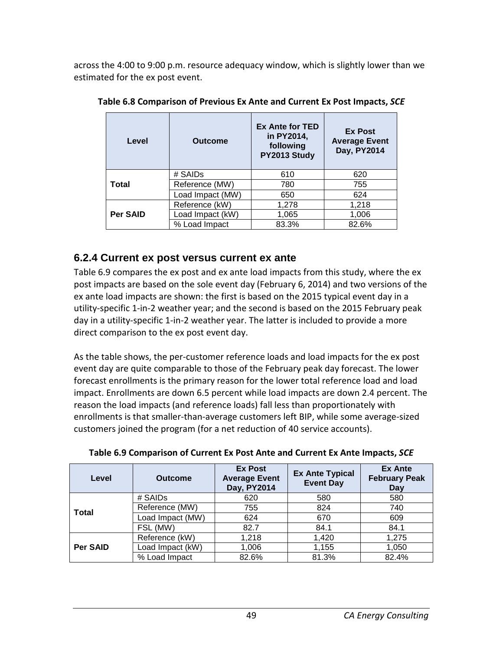across the 4:00 to 9:00 p.m. resource adequacy window, which is slightly lower than we estimated for the ex post event.

| Level           | <b>Outcome</b>   | <b>Ex Ante for TED</b><br>in PY2014,<br>following<br>PY2013 Study | <b>Ex Post</b><br><b>Average Event</b><br>Day, PY2014 |
|-----------------|------------------|-------------------------------------------------------------------|-------------------------------------------------------|
|                 | # SAIDs          | 610                                                               | 620                                                   |
| <b>Total</b>    | Reference (MW)   | 780                                                               | 755                                                   |
|                 | Load Impact (MW) | 650                                                               | 624                                                   |
|                 | Reference (kW)   | 1,278                                                             | 1,218                                                 |
| <b>Per SAID</b> | Load Impact (kW) | 1,065                                                             | 1,006                                                 |
|                 | % Load Impact    | 83.3%                                                             | 82.6%                                                 |

**Table 6.8 Comparison of Previous Ex Ante and Current Ex Post Impacts,** *SCE*

### **6.2.4 Current ex post versus current ex ante**

Table 6.9 compares the ex post and ex ante load impacts from this study, where the ex post impacts are based on the sole event day (February 6, 2014) and two versions of the ex ante load impacts are shown: the first is based on the 2015 typical event day in a utility-specific 1-in-2 weather year; and the second is based on the 2015 February peak day in a utility-specific 1-in-2 weather year. The latter is included to provide a more direct comparison to the ex post event day.

As the table shows, the per-customer reference loads and load impacts for the ex post event day are quite comparable to those of the February peak day forecast. The lower forecast enrollments is the primary reason for the lower total reference load and load impact. Enrollments are down 6.5 percent while load impacts are down 2.4 percent. The reason the load impacts (and reference loads) fall less than proportionately with enrollments is that smaller-than-average customers left BIP, while some average-sized customers joined the program (for a net reduction of 40 service accounts).

| Level           | <b>Outcome</b>   | <b>Ex Post</b><br><b>Average Event</b><br>Day, PY2014 | <b>Ex Ante Typical</b><br><b>Event Day</b> | <b>Ex Ante</b><br><b>February Peak</b><br>Day |
|-----------------|------------------|-------------------------------------------------------|--------------------------------------------|-----------------------------------------------|
|                 | # SAIDs          | 620                                                   | 580                                        | 580                                           |
| <b>Total</b>    | Reference (MW)   | 755                                                   | 824                                        | 740                                           |
|                 | Load Impact (MW) | 624                                                   | 670                                        | 609                                           |
|                 | FSL (MW)         | 82.7                                                  | 84.1                                       | 84.1                                          |
| <b>Per SAID</b> | Reference (kW)   | 1,218                                                 | 1,420                                      | 1,275                                         |
|                 | Load Impact (kW) | 1,006                                                 | 1,155                                      | 1,050                                         |
|                 | % Load Impact    | 82.6%                                                 | 81.3%                                      | 82.4%                                         |

|  |  | Table 6.9 Comparison of Current Ex Post Ante and Current Ex Ante Impacts, SCE |  |
|--|--|-------------------------------------------------------------------------------|--|
|  |  |                                                                               |  |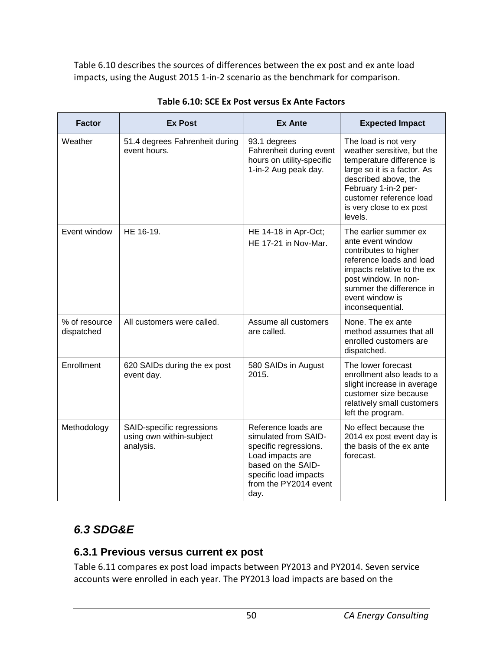Table 6.10 describes the sources of differences between the ex post and ex ante load impacts, using the August 2015 1-in-2 scenario as the benchmark for comparison.

| <b>Factor</b>               | <b>Ex Post</b>                                                     | <b>Ex Ante</b>                                                                                                                                                           | <b>Expected Impact</b>                                                                                                                                                                                                           |
|-----------------------------|--------------------------------------------------------------------|--------------------------------------------------------------------------------------------------------------------------------------------------------------------------|----------------------------------------------------------------------------------------------------------------------------------------------------------------------------------------------------------------------------------|
| Weather                     | 51.4 degrees Fahrenheit during<br>event hours.                     | 93.1 degrees<br>Fahrenheit during event<br>hours on utility-specific<br>1-in-2 Aug peak day.                                                                             | The load is not very<br>weather sensitive, but the<br>temperature difference is<br>large so it is a factor. As<br>described above, the<br>February 1-in-2 per-<br>customer reference load<br>is very close to ex post<br>levels. |
| Event window                | HE 16-19.                                                          | HE 14-18 in Apr-Oct;<br>HE 17-21 in Nov-Mar.                                                                                                                             | The earlier summer ex<br>ante event window<br>contributes to higher<br>reference loads and load<br>impacts relative to the ex<br>post window. In non-<br>summer the difference in<br>event window is<br>inconsequential.         |
| % of resource<br>dispatched | All customers were called.                                         | Assume all customers<br>are called.                                                                                                                                      | None. The ex ante<br>method assumes that all<br>enrolled customers are<br>dispatched.                                                                                                                                            |
| Enrollment                  | 620 SAIDs during the ex post<br>event day.                         | 580 SAIDs in August<br>2015.                                                                                                                                             | The lower forecast<br>enrollment also leads to a<br>slight increase in average<br>customer size because<br>relatively small customers<br>left the program.                                                                       |
| Methodology                 | SAID-specific regressions<br>using own within-subject<br>analysis. | Reference loads are<br>simulated from SAID-<br>specific regressions.<br>Load impacts are<br>based on the SAID-<br>specific load impacts<br>from the PY2014 event<br>day. | No effect because the<br>2014 ex post event day is<br>the basis of the ex ante<br>forecast.                                                                                                                                      |

#### **Table 6.10: SCE Ex Post versus Ex Ante Factors**

# *6.3 SDG&E*

#### **6.3.1 Previous versus current ex post**

Table 6.11 compares ex post load impacts between PY2013 and PY2014. Seven service accounts were enrolled in each year. The PY2013 load impacts are based on the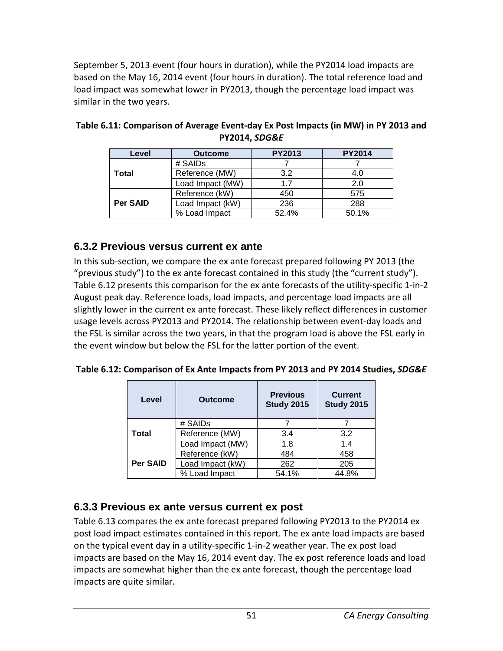September 5, 2013 event (four hours in duration), while the PY2014 load impacts are based on the May 16, 2014 event (four hours in duration). The total reference load and load impact was somewhat lower in PY2013, though the percentage load impact was similar in the two years.

| Level    | <b>Outcome</b>   | <b>PY2013</b> | <b>PY2014</b> |
|----------|------------------|---------------|---------------|
|          | # SAIDs          |               |               |
| Total    | Reference (MW)   | 3.2           | 4.0           |
|          | Load Impact (MW) | 17            | 2.0           |
|          | Reference (kW)   | 450           | 575           |
| Per SAID | Load Impact (kW) | 236           | 288           |
|          | % Load Impact    | 52.4%         | 50.1%         |

| Table 6.11: Comparison of Average Event-day Ex Post Impacts (in MW) in PY 2013 and |
|------------------------------------------------------------------------------------|
| <b>PY2014, SDG&amp;E</b>                                                           |

### **6.3.2 Previous versus current ex ante**

In this sub-section, we compare the ex ante forecast prepared following PY 2013 (the "previous study") to the ex ante forecast contained in this study (the "current study"). Table 6.12 presents this comparison for the ex ante forecasts of the utility-specific 1-in-2 August peak day. Reference loads, load impacts, and percentage load impacts are all slightly lower in the current ex ante forecast. These likely reflect differences in customer usage levels across PY2013 and PY2014. The relationship between event-day loads and the FSL is similar across the two years, in that the program load is above the FSL early in the event window but below the FSL for the latter portion of the event.

| Table 6.12: Comparison of Ex Ante Impacts from PY 2013 and PY 2014 Studies, SDG&E |  |
|-----------------------------------------------------------------------------------|--|
|-----------------------------------------------------------------------------------|--|

| Level           | <b>Outcome</b>   | <b>Previous</b><br><b>Study 2015</b> | <b>Current</b><br><b>Study 2015</b> |
|-----------------|------------------|--------------------------------------|-------------------------------------|
|                 | # SAIDs          |                                      |                                     |
| Total           | Reference (MW)   | 3.4                                  | 3.2                                 |
|                 | Load Impact (MW) | 1.8                                  | 1.4                                 |
|                 | Reference (kW)   | 484                                  | 458                                 |
| <b>Per SAID</b> | Load Impact (kW) | 262                                  | 205                                 |
|                 | % Load Impact    | 54.1%                                | 44.8%                               |

## **6.3.3 Previous ex ante versus current ex post**

Table 6.13 compares the ex ante forecast prepared following PY2013 to the PY2014 ex post load impact estimates contained in this report. The ex ante load impacts are based on the typical event day in a utility-specific 1-in-2 weather year. The ex post load impacts are based on the May 16, 2014 event day. The ex post reference loads and load impacts are somewhat higher than the ex ante forecast, though the percentage load impacts are quite similar.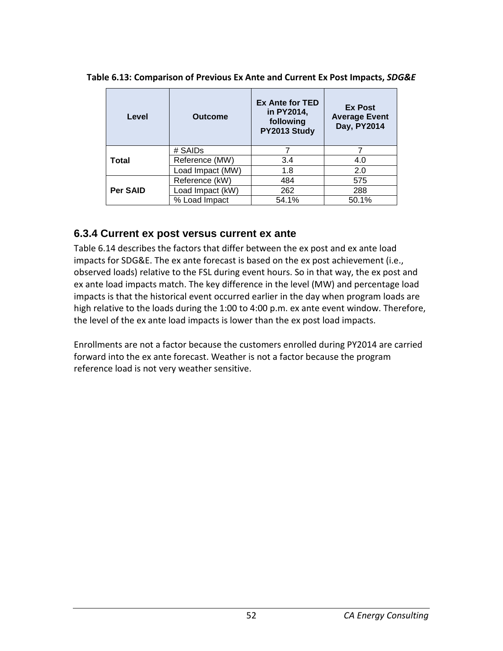| Level           | <b>Outcome</b>   | <b>Ex Ante for TED</b><br>in PY2014,<br>following<br>PY2013 Study | <b>Ex Post</b><br><b>Average Event</b><br>Day, PY2014 |
|-----------------|------------------|-------------------------------------------------------------------|-------------------------------------------------------|
|                 | # SAIDs          |                                                                   |                                                       |
| Total           | Reference (MW)   | 3.4                                                               | 4.0                                                   |
|                 | Load Impact (MW) | 1.8                                                               | 2.0                                                   |
|                 | Reference (kW)   | 484                                                               | 575                                                   |
| <b>Per SAID</b> | Load Impact (kW) | 262                                                               | 288                                                   |
|                 | % Load Impact    | 54.1%                                                             | 50.1%                                                 |

**Table 6.13: Comparison of Previous Ex Ante and Current Ex Post Impacts,** *SDG&E*

#### **6.3.4 Current ex post versus current ex ante**

Table 6.14 describes the factors that differ between the ex post and ex ante load impacts for SDG&E. The ex ante forecast is based on the ex post achievement (i.e., observed loads) relative to the FSL during event hours. So in that way, the ex post and ex ante load impacts match. The key difference in the level (MW) and percentage load impacts is that the historical event occurred earlier in the day when program loads are high relative to the loads during the 1:00 to 4:00 p.m. ex ante event window. Therefore, the level of the ex ante load impacts is lower than the ex post load impacts.

Enrollments are not a factor because the customers enrolled during PY2014 are carried forward into the ex ante forecast. Weather is not a factor because the program reference load is not very weather sensitive.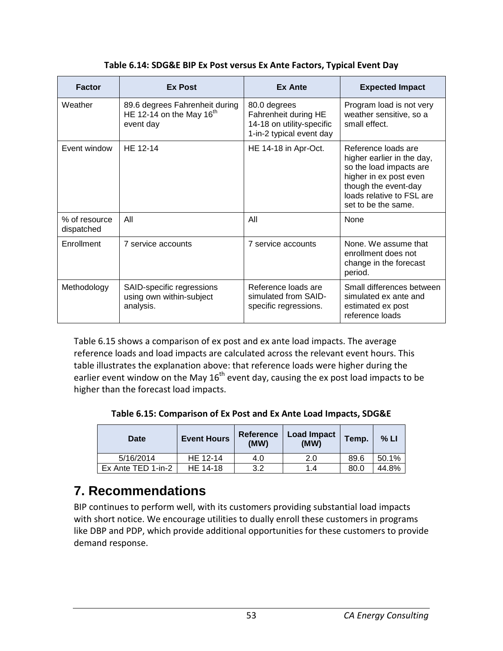| <b>Factor</b>               | <b>Ex Post</b>                                                               | <b>Ex Ante</b>                                                                                | <b>Expected Impact</b>                                                                                                                                                             |
|-----------------------------|------------------------------------------------------------------------------|-----------------------------------------------------------------------------------------------|------------------------------------------------------------------------------------------------------------------------------------------------------------------------------------|
| Weather                     | 89.6 degrees Fahrenheit during<br>HE 12-14 on the May $16^{th}$<br>event day | 80.0 degrees<br>Fahrenheit during HE<br>14-18 on utility-specific<br>1-in-2 typical event day | Program load is not very<br>weather sensitive, so a<br>small effect.                                                                                                               |
| Event window                | HE 12-14                                                                     | HE 14-18 in Apr-Oct.                                                                          | Reference loads are<br>higher earlier in the day,<br>so the load impacts are<br>higher in ex post even<br>though the event-day<br>loads relative to FSL are<br>set to be the same. |
| % of resource<br>dispatched | All                                                                          | All                                                                                           | None                                                                                                                                                                               |
| Enrollment                  | 7 service accounts                                                           | 7 service accounts                                                                            | None. We assume that<br>enrollment does not<br>change in the forecast<br>period.                                                                                                   |
| Methodology                 | SAID-specific regressions<br>using own within-subject<br>analysis.           | Reference loads are<br>simulated from SAID-<br>specific regressions.                          | Small differences between<br>simulated ex ante and<br>estimated ex post<br>reference loads                                                                                         |

Table 6.15 shows a comparison of ex post and ex ante load impacts. The average reference loads and load impacts are calculated across the relevant event hours. This table illustrates the explanation above: that reference loads were higher during the earlier event window on the May  $16<sup>th</sup>$  event day, causing the ex post load impacts to be higher than the forecast load impacts.

**Table 6.15: Comparison of Ex Post and Ex Ante Load Impacts, SDG&E**

| Date               | <b>Event Hours</b> | <b>Reference</b><br>(MW) | Load Impact<br>(MW) | Temp. | % LI  |
|--------------------|--------------------|--------------------------|---------------------|-------|-------|
| 5/16/2014          | HE 12-14           | 4.0                      | 2.0                 | 89.6  | 50.1% |
| Ex Ante TED 1-in-2 | HE 14-18           | 3.2                      | 1.4                 | 80.0  | 44.8% |

# **7. Recommendations**

BIP continues to perform well, with its customers providing substantial load impacts with short notice. We encourage utilities to dually enroll these customers in programs like DBP and PDP, which provide additional opportunities for these customers to provide demand response.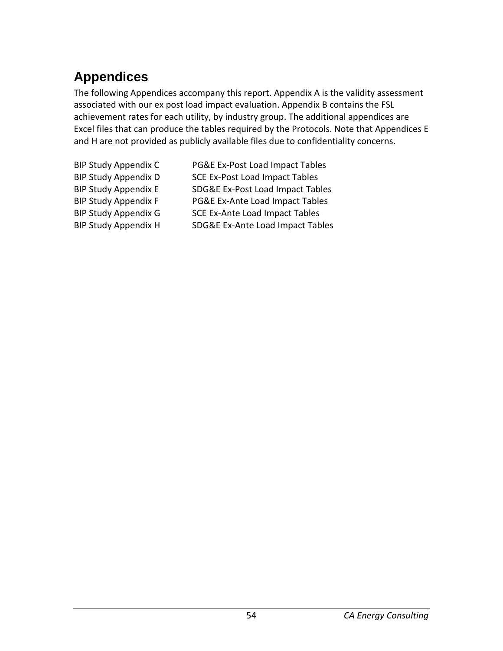# **Appendices**

The following Appendices accompany this report. Appendix A is the validity assessment associated with our ex post load impact evaluation. Appendix B contains the FSL achievement rates for each utility, by industry group. The additional appendices are Excel files that can produce the tables required by the Protocols. Note that Appendices E and H are not provided as publicly available files due to confidentiality concerns.

BIP Study Appendix H SDG&E Ex-Ante Load Impact Tables

BIP Study Appendix C PG&E Ex-Post Load Impact Tables BIP Study Appendix D SCE Ex-Post Load Impact Tables BIP Study Appendix E SDG&E Ex-Post Load Impact Tables BIP Study Appendix F PG&E Ex-Ante Load Impact Tables BIP Study Appendix G SCE Ex-Ante Load Impact Tables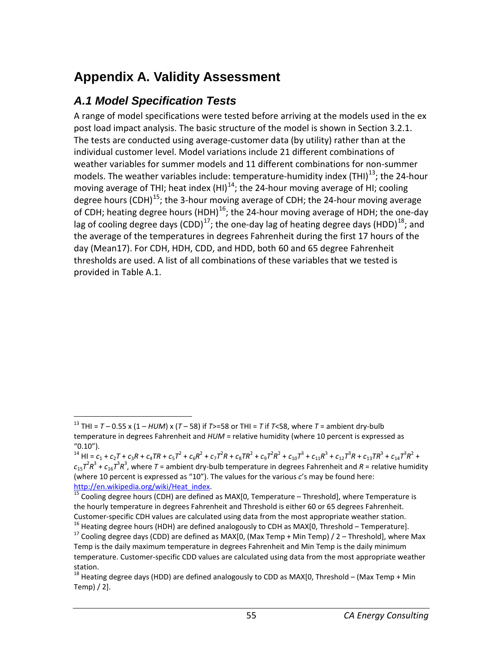# **Appendix A. Validity Assessment**

## *A.1 Model Specification Tests*

A range of model specifications were tested before arriving at the models used in the ex post load impact analysis. The basic structure of the model is shown in Section 3.2.1. The tests are conducted using average-customer data (by utility) rather than at the individual customer level. Model variations include 21 different combinations of weather variables for summer models and 11 different combinations for non-summer models. The weather variables include: temperature-humidity index (THI) $^{13}$  $^{13}$  $^{13}$ ; the 24-hour moving average of THI; heat index  $(HI)^{14}$ ; the 24-hour moving average of HI; cooling degree hours (CDH)<sup>15</sup>; the 3-hour moving average of CDH; the 24-hour moving average of CDH; heating degree hours (HDH)<sup>16</sup>; the 24-hour moving average of HDH; the one-day lag of cooling degree days (CDD)<sup>[17](#page-60-4)</sup>; the one-day lag of heating degree days (HDD)<sup>[18](#page-60-5)</sup>; and the average of the temperatures in degrees Fahrenheit during the first 17 hours of the day (Mean17). For CDH, HDH, CDD, and HDD, both 60 and 65 degree Fahrenheit thresholds are used. A list of all combinations of these variables that we tested is provided in Table A.1.

<span id="page-60-0"></span><sup>&</sup>lt;sup>13</sup> THI =  $T$  – 0.55 x (1 – *HUM*) x (*T* – 58) if *T*>=58 or THI = *T* if *T*<58, where *T* = ambient dry-bulb temperature in degrees Fahrenheit and *HUM* = relative humidity (where 10 percent is expressed as "0.10").

<span id="page-60-1"></span><sup>&</sup>lt;sup>14</sup> HI =  $c_1$  +  $c_2$ T +  $c_3$ R +  $c_4$ TR +  $c_5$ T<sup>2</sup> +  $c_6$ R<sup>2</sup> +  $c_7$ T<sup>2</sup>R +  $c_8$ TR<sup>2</sup> +  $c_9$ T<sup>2</sup>R<sup>2</sup> +  $c_{10}$ T<sup>3</sup> +  $c_{11}$ R<sup>3</sup> +  $c_{12}$ T<sup>3</sup>R +  $c_{13}$ TR<sup>3</sup> +  $c_{14}$ T<sup>3</sup>R<sup>2</sup> +  $c_{15}$  $7^2R^3$  +  $c_{16}$  $7^3R^3$ , where  $T$  = ambient dry-bulb temperature in degrees Fahrenheit and  $R$  = relative humidity (where 10 percent is expressed as "10"). The values for the various *c*'s may be found here: http://en.wikipedia.org/wiki/Heat index.<br><sup>15</sup> Cooling degree hours (CDH) are defined as MAX[0, Temperature – Threshold], where Temperature is

<span id="page-60-2"></span>the hourly temperature in degrees Fahrenheit and Threshold is either 60 or 65 degrees Fahrenheit. Customer-specific CDH values are calculated using data from the most appropriate weather station.<br><sup>16</sup> Heating degree hours (HDH) are defined analogously to CDH as MAX[0, Threshold – Temperature].<br><sup>17</sup> Cooling degree days

<span id="page-60-4"></span><span id="page-60-3"></span>Temp is the daily maximum temperature in degrees Fahrenheit and Min Temp is the daily minimum temperature. Customer-specific CDD values are calculated using data from the most appropriate weather station.

<span id="page-60-5"></span><sup>&</sup>lt;sup>18</sup> Heating degree days (HDD) are defined analogously to CDD as MAX[0, Threshold – (Max Temp + Min Temp) / 2].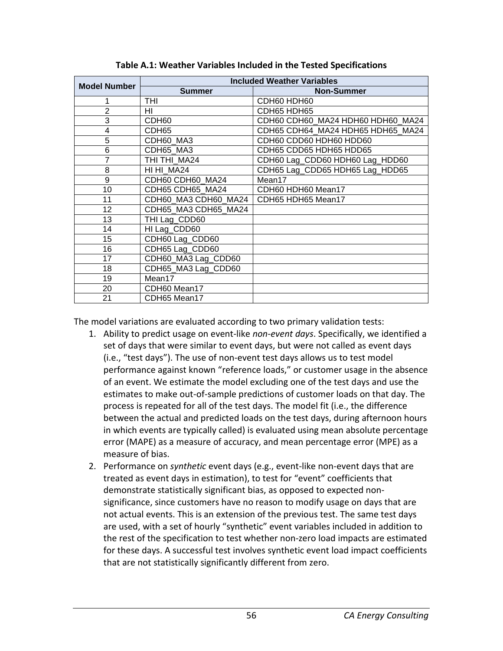| <b>Model Number</b> |                      | <b>Included Weather Variables</b> |  |  |
|---------------------|----------------------|-----------------------------------|--|--|
|                     | <b>Summer</b>        | <b>Non-Summer</b>                 |  |  |
|                     | THI                  | CDH60 HDH60                       |  |  |
| 2                   | HI                   | CDH65 HDH65                       |  |  |
| 3                   | CDH60                | CDH60 CDH60_MA24 HDH60 HDH60_MA24 |  |  |
| 4                   | CDH <sub>65</sub>    | CDH65 CDH64 MA24 HDH65 HDH65 MA24 |  |  |
| 5                   | CDH60 MA3            | CDH60 CDD60 HDH60 HDD60           |  |  |
| 6                   | CDH65 MA3            | CDH65 CDD65 HDH65 HDD65           |  |  |
| 7                   | THI THI MA24         | CDH60 Lag_CDD60 HDH60 Lag_HDD60   |  |  |
| 8                   | HI HI MA24           | CDH65 Lag_CDD65 HDH65 Lag_HDD65   |  |  |
| 9                   | CDH60 CDH60 MA24     | Mean17                            |  |  |
| 10                  | CDH65 CDH65 MA24     | CDH60 HDH60 Mean17                |  |  |
| 11                  | CDH60_MA3 CDH60_MA24 | CDH65 HDH65 Mean17                |  |  |
| 12                  | CDH65 MA3 CDH65 MA24 |                                   |  |  |
| 13                  | THI Lag_CDD60        |                                   |  |  |
| 14                  | HI Lag_CDD60         |                                   |  |  |
| 15                  | CDH60 Lag_CDD60      |                                   |  |  |
| 16                  | CDH65 Lag_CDD60      |                                   |  |  |
| 17                  | CDH60_MA3 Lag_CDD60  |                                   |  |  |
| 18                  | CDH65_MA3 Lag_CDD60  |                                   |  |  |
| 19                  | Mean17               |                                   |  |  |
| 20                  | CDH60 Mean17         |                                   |  |  |
| 21                  | CDH65 Mean17         |                                   |  |  |

**Table A.1: Weather Variables Included in the Tested Specifications**

The model variations are evaluated according to two primary validation tests:

- 1. Ability to predict usage on event-like *non-event days*. Specifically, we identified a set of days that were similar to event days, but were not called as event days (i.e., "test days"). The use of non-event test days allows us to test model performance against known "reference loads," or customer usage in the absence of an event. We estimate the model excluding one of the test days and use the estimates to make out-of-sample predictions of customer loads on that day. The process is repeated for all of the test days. The model fit (i.e., the difference between the actual and predicted loads on the test days, during afternoon hours in which events are typically called) is evaluated using mean absolute percentage error (MAPE) as a measure of accuracy, and mean percentage error (MPE) as a measure of bias.
- 2. Performance on *synthetic* event days (e.g., event-like non-event days that are treated as event days in estimation), to test for "event" coefficients that demonstrate statistically significant bias, as opposed to expected nonsignificance, since customers have no reason to modify usage on days that are not actual events. This is an extension of the previous test. The same test days are used, with a set of hourly "synthetic" event variables included in addition to the rest of the specification to test whether non-zero load impacts are estimated for these days. A successful test involves synthetic event load impact coefficients that are not statistically significantly different from zero.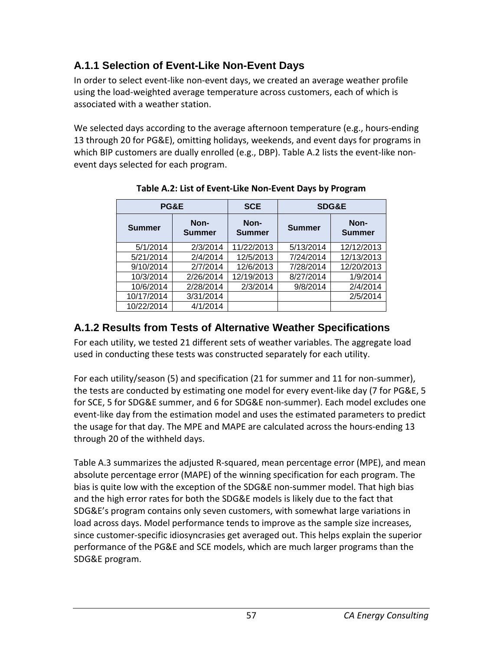## **A.1.1 Selection of Event-Like Non-Event Days**

In order to select event-like non-event days, we created an average weather profile using the load-weighted average temperature across customers, each of which is associated with a weather station.

We selected days according to the average afternoon temperature (e.g., hours-ending 13 through 20 for PG&E), omitting holidays, weekends, and event days for programs in which BIP customers are dually enrolled (e.g., DBP). Table A.2 lists the event-like nonevent days selected for each program.

|                                        | PG&E      | <b>SCE</b>            |               | <b>SDG&amp;E</b>      |
|----------------------------------------|-----------|-----------------------|---------------|-----------------------|
| Non-<br><b>Summer</b><br><b>Summer</b> |           | Non-<br><b>Summer</b> | <b>Summer</b> | Non-<br><b>Summer</b> |
| 5/1/2014                               | 2/3/2014  | 11/22/2013            | 5/13/2014     | 12/12/2013            |
| 5/21/2014                              | 2/4/2014  | 12/5/2013             | 7/24/2014     | 12/13/2013            |
| 9/10/2014                              | 2/7/2014  | 12/6/2013             | 7/28/2014     | 12/20/2013            |
| 10/3/2014                              | 2/26/2014 | 12/19/2013            | 8/27/2014     | 1/9/2014              |
| 10/6/2014                              | 2/28/2014 | 2/3/2014              | 9/8/2014      | 2/4/2014              |
| 10/17/2014                             | 3/31/2014 |                       |               | 2/5/2014              |
| 10/22/2014                             | 4/1/2014  |                       |               |                       |

**Table A.2: List of Event-Like Non-Event Days by Program**

## **A.1.2 Results from Tests of Alternative Weather Specifications**

For each utility, we tested 21 different sets of weather variables. The aggregate load used in conducting these tests was constructed separately for each utility.

For each utility/season (5) and specification (21 for summer and 11 for non-summer), the tests are conducted by estimating one model for every event-like day (7 for PG&E, 5 for SCE, 5 for SDG&E summer, and 6 for SDG&E non-summer). Each model excludes one event-like day from the estimation model and uses the estimated parameters to predict the usage for that day. The MPE and MAPE are calculated across the hours-ending 13 through 20 of the withheld days.

Table A.3 summarizes the adjusted R-squared, mean percentage error (MPE), and mean absolute percentage error (MAPE) of the winning specification for each program. The bias is quite low with the exception of the SDG&E non-summer model. That high bias and the high error rates for both the SDG&E models is likely due to the fact that SDG&E's program contains only seven customers, with somewhat large variations in load across days. Model performance tends to improve as the sample size increases, since customer-specific idiosyncrasies get averaged out. This helps explain the superior performance of the PG&E and SCE models, which are much larger programs than the SDG&E program.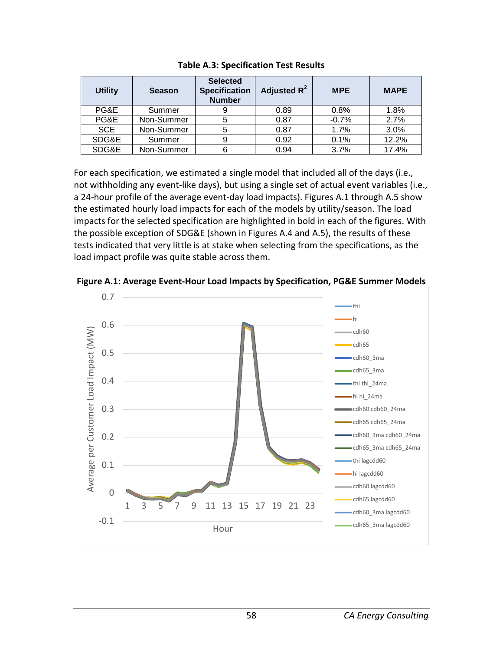| <b>Utility</b> | <b>Season</b> | <b>Selected</b><br><b>Specification</b><br><b>Number</b> | Adjusted $R^2$ | <b>MPE</b> | <b>MAPE</b> |
|----------------|---------------|----------------------------------------------------------|----------------|------------|-------------|
| PG&E           | Summer        | 9                                                        | 0.89           | 0.8%       | 1.8%        |
| PG&E           | Non-Summer    | 5                                                        | 0.87           | $-0.7%$    | 2.7%        |
| <b>SCE</b>     | Non-Summer    | 5                                                        | 0.87           | 1.7%       | 3.0%        |
| SDG&E          | Summer        | 9                                                        | 0.92           | 0.1%       | 12.2%       |
| SDG&E          | Non-Summer    | 6                                                        | 0.94           | 3.7%       | 17.4%       |

**Table A.3: Specification Test Results**

For each specification, we estimated a single model that included all of the days (i.e., not withholding any event-like days), but using a single set of actual event variables (i.e., a 24-hour profile of the average event-day load impacts). Figures A.1 through A.5 show the estimated hourly load impacts for each of the models by utility/season. The load impacts for the selected specification are highlighted in bold in each of the figures. With the possible exception of SDG&E (shown in Figures A.4 and A.5), the results of these tests indicated that very little is at stake when selecting from the specifications, as the load impact profile was quite stable across them.



**Figure A.1: Average Event-Hour Load Impacts by Specification, PG&E Summer Models**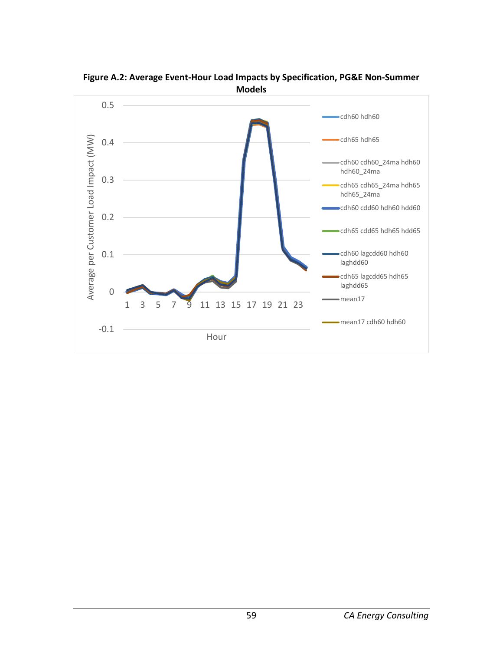

**Figure A.2: Average Event-Hour Load Impacts by Specification, PG&E Non-Summer Models**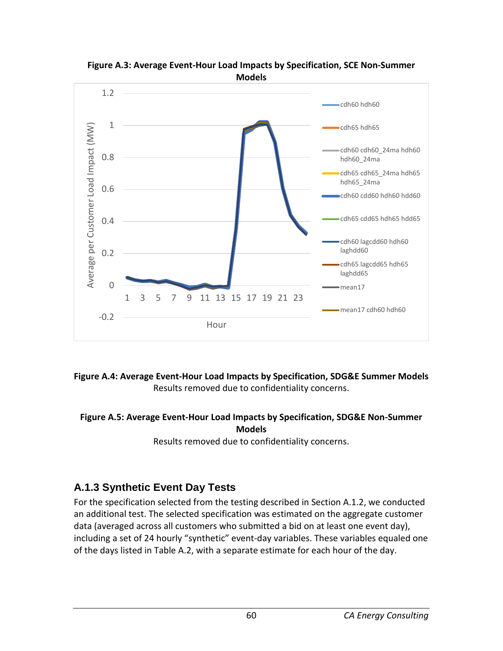

**Figure A.3: Average Event-Hour Load Impacts by Specification, SCE Non-Summer Models**

**Figure A.4: Average Event-Hour Load Impacts by Specification, SDG&E Summer Models** Results removed due to confidentiality concerns.

#### **Figure A.5: Average Event-Hour Load Impacts by Specification, SDG&E Non-Summer Models**

Results removed due to confidentiality concerns.

## **A.1.3 Synthetic Event Day Tests**

For the specification selected from the testing described in Section A.1.2, we conducted an additional test. The selected specification was estimated on the aggregate customer data (averaged across all customers who submitted a bid on at least one event day), including a set of 24 hourly "synthetic" event-day variables. These variables equaled one of the days listed in Table A.2, with a separate estimate for each hour of the day.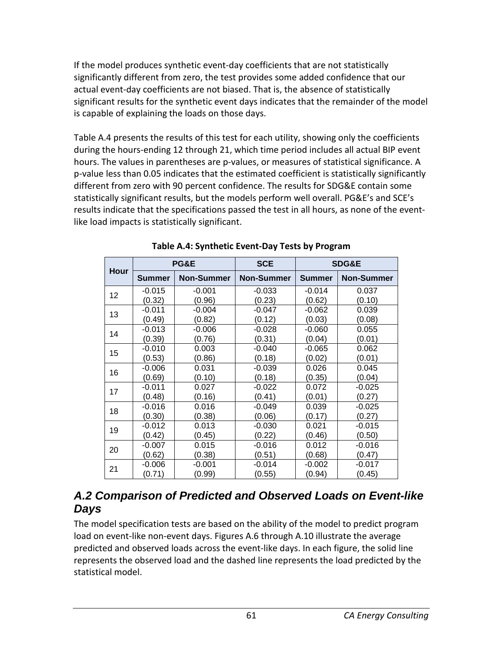If the model produces synthetic event-day coefficients that are not statistically significantly different from zero, the test provides some added confidence that our actual event-day coefficients are not biased. That is, the absence of statistically significant results for the synthetic event days indicates that the remainder of the model is capable of explaining the loads on those days.

Table A.4 presents the results of this test for each utility, showing only the coefficients during the hours-ending 12 through 21, which time period includes all actual BIP event hours. The values in parentheses are p-values, or measures of statistical significance. A p-value less than 0.05 indicates that the estimated coefficient is statistically significantly different from zero with 90 percent confidence. The results for SDG&E contain some statistically significant results, but the models perform well overall. PG&E's and SCE's results indicate that the specifications passed the test in all hours, as none of the eventlike load impacts is statistically significant.

|             | PG&E          |                   | <b>SCE</b>        |               | SDG&E             |
|-------------|---------------|-------------------|-------------------|---------------|-------------------|
| <b>Hour</b> | <b>Summer</b> | <b>Non-Summer</b> | <b>Non-Summer</b> | <b>Summer</b> | <b>Non-Summer</b> |
| 12          | $-0.015$      | $-0.001$          | $-0.033$          | $-0.014$      | 0.037             |
|             | (0.32)        | (0.96)            | (0.23)            | (0.62)        | (0.10)            |
| 13          | $-0.011$      | $-0.004$          | $-0.047$          | $-0.062$      | 0.039             |
|             | (0.49)        | (0.82)            | (0.12)            | (0.03)        | (0.08)            |
| 14          | $-0.013$      | $-0.006$          | $-0.028$          | $-0.060$      | 0.055             |
|             | (0.39)        | (0.76)            | (0.31)            | (0.04)        | (0.01)            |
| 15          | $-0.010$      | 0.003             | $-0.040$          | $-0.065$      | 0.062             |
|             | (0.53)        | (0.86)            | (0.18)            | (0.02)        | (0.01)            |
| 16          | $-0.006$      | 0.031             | $-0.039$          | 0.026         | 0.045             |
|             | (0.69)        | (0.10)            | (0.18)            | (0.35)        | (0.04)            |
| 17          | $-0.011$      | 0.027             | $-0.022$          | 0.072         | $-0.025$          |
|             | (0.48)        | (0.16)            | (0.41)            | (0.01)        | (0.27)            |
| 18          | $-0.016$      | 0.016             | $-0.049$          | 0.039         | $-0.025$          |
|             | (0.30)        | (0.38)            | (0.06)            | (0.17)        | (0.27)            |
| 19          | $-0.012$      | 0.013             | $-0.030$          | 0.021         | $-0.015$          |
|             | (0.42)        | (0.45)            | (0.22)            | (0.46)        | (0.50)            |
| 20          | $-0.007$      | 0.015             | $-0.016$          | 0.012         | $-0.016$          |
|             | (0.62)        | (0.38)            | (0.51)            | (0.68)        | (0.47)            |
|             | $-0.006$      | $-0.001$          | $-0.014$          | $-0.002$      | $-0.017$          |
| 21          | (0.71)        | (0.99)            | (0.55)            | (0.94)        | (0.45)            |

**Table A.4: Synthetic Event-Day Tests by Program**

## *A.2 Comparison of Predicted and Observed Loads on Event-like Days*

The model specification tests are based on the ability of the model to predict program load on event-like non-event days. Figures A.6 through A.10 illustrate the average predicted and observed loads across the event-like days. In each figure, the solid line represents the observed load and the dashed line represents the load predicted by the statistical model.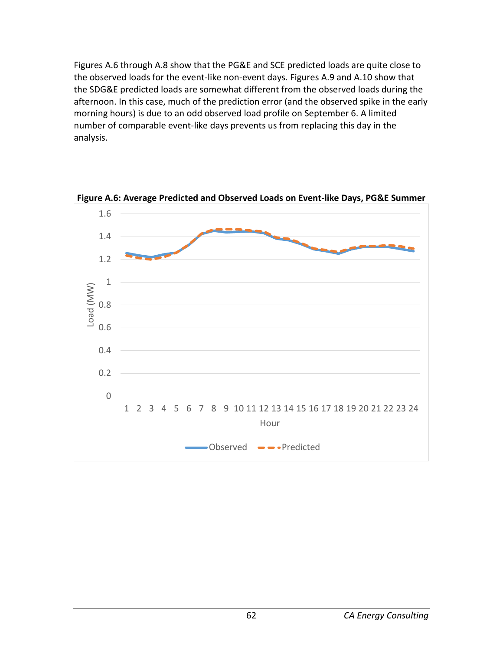Figures A.6 through A.8 show that the PG&E and SCE predicted loads are quite close to the observed loads for the event-like non-event days. Figures A.9 and A.10 show that the SDG&E predicted loads are somewhat different from the observed loads during the afternoon. In this case, much of the prediction error (and the observed spike in the early morning hours) is due to an odd observed load profile on September 6. A limited number of comparable event-like days prevents us from replacing this day in the analysis.



**Figure A.6: Average Predicted and Observed Loads on Event-like Days, PG&E Summer**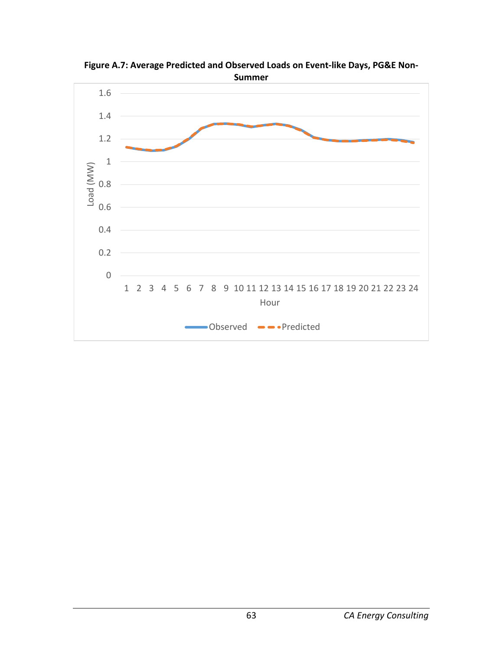

**Figure A.7: Average Predicted and Observed Loads on Event-like Days, PG&E Non-Summer**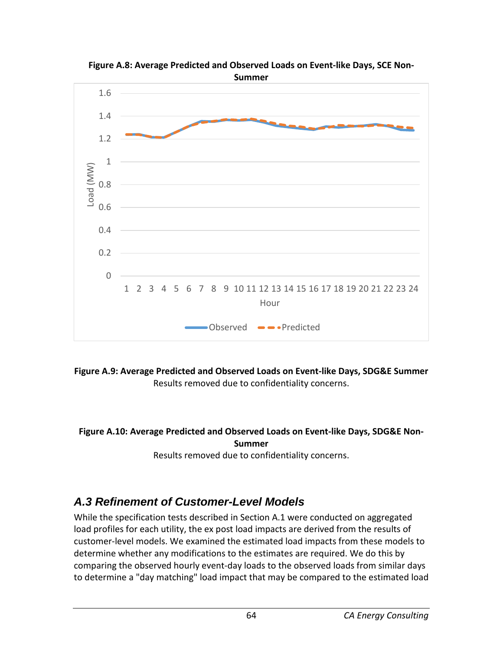



**Figure A.9: Average Predicted and Observed Loads on Event-like Days, SDG&E Summer** Results removed due to confidentiality concerns.

#### **Figure A.10: Average Predicted and Observed Loads on Event-like Days, SDG&E Non-Summer**

Results removed due to confidentiality concerns.

## *A.3 Refinement of Customer-Level Models*

While the specification tests described in Section A.1 were conducted on aggregated load profiles for each utility, the ex post load impacts are derived from the results of customer-level models. We examined the estimated load impacts from these models to determine whether any modifications to the estimates are required. We do this by comparing the observed hourly event-day loads to the observed loads from similar days to determine a "day matching" load impact that may be compared to the estimated load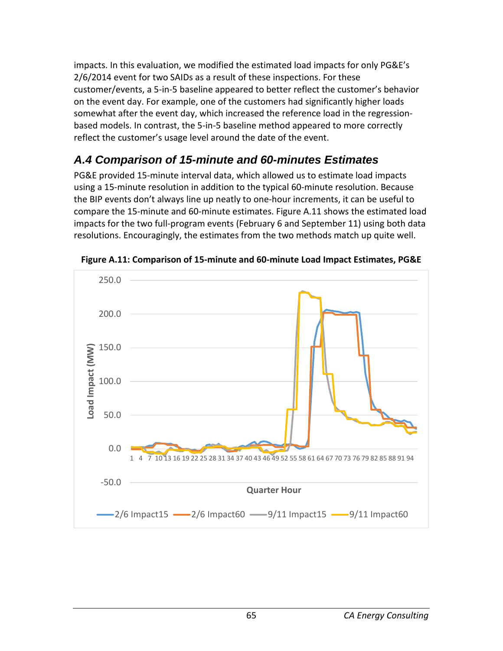impacts. In this evaluation, we modified the estimated load impacts for only PG&E's 2/6/2014 event for two SAIDs as a result of these inspections. For these customer/events, a 5-in-5 baseline appeared to better reflect the customer's behavior on the event day. For example, one of the customers had significantly higher loads somewhat after the event day, which increased the reference load in the regressionbased models. In contrast, the 5-in-5 baseline method appeared to more correctly reflect the customer's usage level around the date of the event.

# *A.4 Comparison of 15-minute and 60-minutes Estimates*

PG&E provided 15-minute interval data, which allowed us to estimate load impacts using a 15-minute resolution in addition to the typical 60-minute resolution. Because the BIP events don't always line up neatly to one-hour increments, it can be useful to compare the 15-minute and 60-minute estimates. Figure A.11 shows the estimated load impacts for the two full-program events (February 6 and September 11) using both data resolutions. Encouragingly, the estimates from the two methods match up quite well.



**Figure A.11: Comparison of 15-minute and 60-minute Load Impact Estimates, PG&E**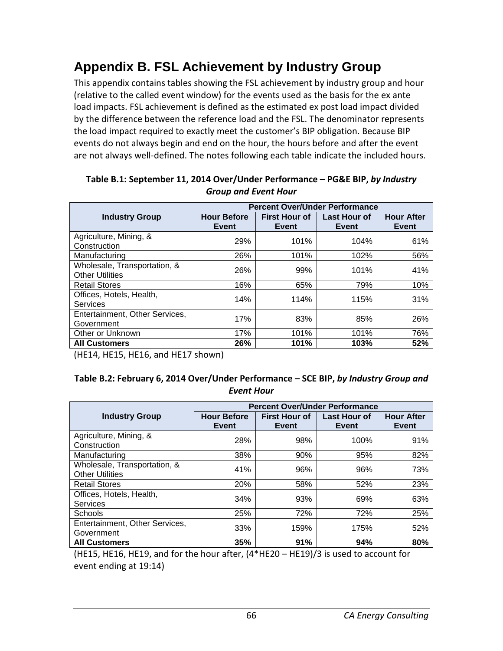# **Appendix B. FSL Achievement by Industry Group**

This appendix contains tables showing the FSL achievement by industry group and hour (relative to the called event window) for the events used as the basis for the ex ante load impacts. FSL achievement is defined as the estimated ex post load impact divided by the difference between the reference load and the FSL. The denominator represents the load impact required to exactly meet the customer's BIP obligation. Because BIP events do not always begin and end on the hour, the hours before and after the event are not always well-defined. The notes following each table indicate the included hours.

|                                                        | <b>Percent Over/Under Performance</b> |                               |                       |                            |  |  |
|--------------------------------------------------------|---------------------------------------|-------------------------------|-----------------------|----------------------------|--|--|
| <b>Industry Group</b>                                  | <b>Hour Before</b><br>Event           | <b>First Hour of</b><br>Event | Last Hour of<br>Event | <b>Hour After</b><br>Event |  |  |
| Agriculture, Mining, &<br>Construction                 | 29%                                   | 101%                          | 104%                  | 61%                        |  |  |
| Manufacturing                                          | 26%                                   | 101%                          | 102%                  | 56%                        |  |  |
| Wholesale, Transportation, &<br><b>Other Utilities</b> | 26%                                   | 99%                           | 101%                  | 41%                        |  |  |
| <b>Retail Stores</b>                                   | 16%                                   | 65%                           | 79%                   | 10%                        |  |  |
| Offices, Hotels, Health,<br>Services                   | 14%                                   | 114%                          | 115%                  | 31%                        |  |  |
| Entertainment, Other Services,<br>Government           | 17%                                   | 83%                           | 85%                   | 26%                        |  |  |
| Other or Unknown                                       | 17%                                   | 101%                          | 101%                  | 76%                        |  |  |
| <b>All Customers</b>                                   | 26%                                   | 101%                          | 103%                  | 52%                        |  |  |

**Table B.1: September 11, 2014 Over/Under Performance – PG&E BIP,** *by Industry Group and Event Hour*

(HE14, HE15, HE16, and HE17 shown)

#### **Table B.2: February 6, 2014 Over/Under Performance – SCE BIP,** *by Industry Group and Event Hour*

|                                                        | <b>Percent Over/Under Performance</b> |                               |                              |                                   |  |  |
|--------------------------------------------------------|---------------------------------------|-------------------------------|------------------------------|-----------------------------------|--|--|
| <b>Industry Group</b>                                  | <b>Hour Before</b><br>Event           | <b>First Hour of</b><br>Event | <b>Last Hour of</b><br>Event | <b>Hour After</b><br><b>Event</b> |  |  |
| Agriculture, Mining, &<br>Construction                 | 28%                                   | 98%                           | 100%                         | 91%                               |  |  |
| Manufacturing                                          | 38%                                   | 90%                           | 95%                          | 82%                               |  |  |
| Wholesale, Transportation, &<br><b>Other Utilities</b> | 41%                                   | 96%                           | 96%                          | 73%                               |  |  |
| <b>Retail Stores</b>                                   | 20%                                   | 58%                           | 52%                          | 23%                               |  |  |
| Offices, Hotels, Health,<br>Services                   | 34%                                   | 93%                           | 69%                          | 63%                               |  |  |
| <b>Schools</b>                                         | 25%                                   | 72%                           | 72%                          | 25%                               |  |  |
| Entertainment, Other Services,<br>Government           | 33%                                   | 159%                          | 175%                         | 52%                               |  |  |
| <b>All Customers</b>                                   | 35%                                   | 91%                           | 94%                          | 80%                               |  |  |

(HE15, HE16, HE19, and for the hour after, (4\*HE20 – HE19)/3 is used to account for event ending at 19:14)